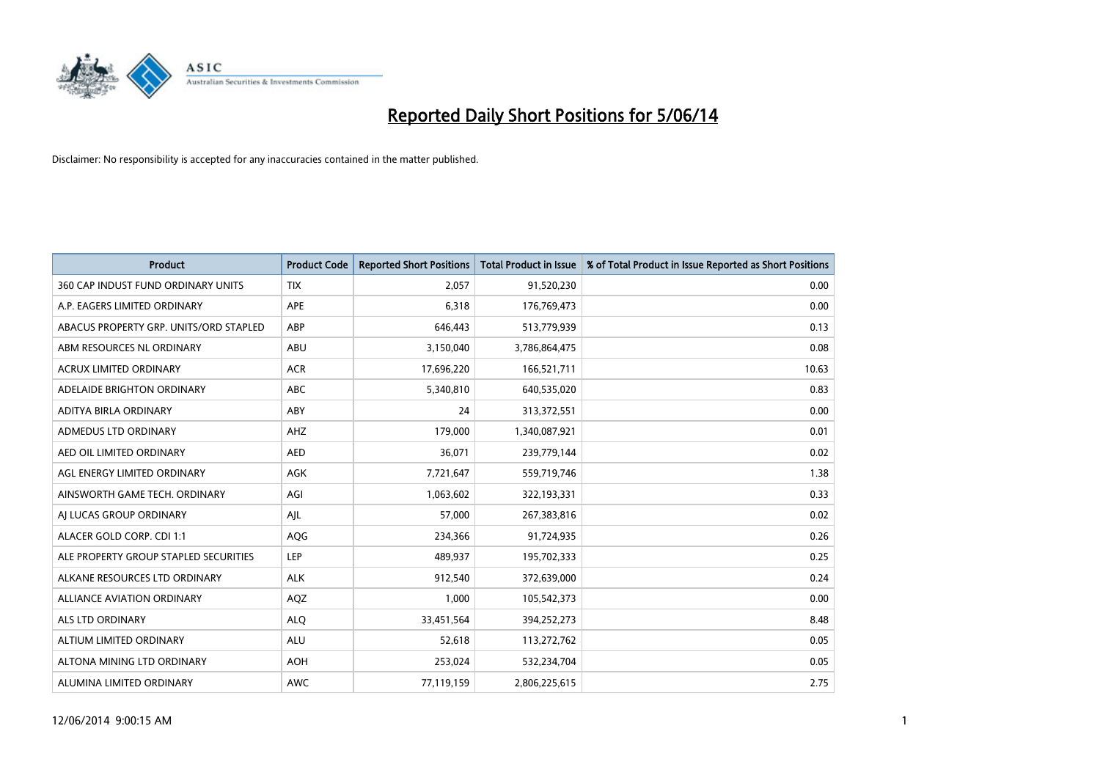

| <b>Product</b>                         | <b>Product Code</b> | <b>Reported Short Positions</b> | <b>Total Product in Issue</b> | % of Total Product in Issue Reported as Short Positions |
|----------------------------------------|---------------------|---------------------------------|-------------------------------|---------------------------------------------------------|
| 360 CAP INDUST FUND ORDINARY UNITS     | <b>TIX</b>          | 2,057                           | 91,520,230                    | 0.00                                                    |
| A.P. EAGERS LIMITED ORDINARY           | APE                 | 6,318                           | 176,769,473                   | 0.00                                                    |
| ABACUS PROPERTY GRP. UNITS/ORD STAPLED | ABP                 | 646,443                         | 513,779,939                   | 0.13                                                    |
| ABM RESOURCES NL ORDINARY              | ABU                 | 3,150,040                       | 3,786,864,475                 | 0.08                                                    |
| <b>ACRUX LIMITED ORDINARY</b>          | <b>ACR</b>          | 17,696,220                      | 166,521,711                   | 10.63                                                   |
| ADELAIDE BRIGHTON ORDINARY             | <b>ABC</b>          | 5,340,810                       | 640,535,020                   | 0.83                                                    |
| ADITYA BIRLA ORDINARY                  | ABY                 | 24                              | 313,372,551                   | 0.00                                                    |
| ADMEDUS LTD ORDINARY                   | AHZ                 | 179,000                         | 1,340,087,921                 | 0.01                                                    |
| AED OIL LIMITED ORDINARY               | <b>AED</b>          | 36,071                          | 239,779,144                   | 0.02                                                    |
| AGL ENERGY LIMITED ORDINARY            | <b>AGK</b>          | 7,721,647                       | 559,719,746                   | 1.38                                                    |
| AINSWORTH GAME TECH. ORDINARY          | AGI                 | 1,063,602                       | 322,193,331                   | 0.33                                                    |
| AI LUCAS GROUP ORDINARY                | AJL                 | 57,000                          | 267,383,816                   | 0.02                                                    |
| ALACER GOLD CORP. CDI 1:1              | AQG                 | 234,366                         | 91,724,935                    | 0.26                                                    |
| ALE PROPERTY GROUP STAPLED SECURITIES  | LEP                 | 489,937                         | 195,702,333                   | 0.25                                                    |
| ALKANE RESOURCES LTD ORDINARY          | <b>ALK</b>          | 912,540                         | 372,639,000                   | 0.24                                                    |
| ALLIANCE AVIATION ORDINARY             | AQZ                 | 1,000                           | 105,542,373                   | 0.00                                                    |
| <b>ALS LTD ORDINARY</b>                | <b>ALO</b>          | 33,451,564                      | 394,252,273                   | 8.48                                                    |
| ALTIUM LIMITED ORDINARY                | <b>ALU</b>          | 52,618                          | 113,272,762                   | 0.05                                                    |
| ALTONA MINING LTD ORDINARY             | <b>AOH</b>          | 253,024                         | 532,234,704                   | 0.05                                                    |
| ALUMINA LIMITED ORDINARY               | <b>AWC</b>          | 77,119,159                      | 2,806,225,615                 | 2.75                                                    |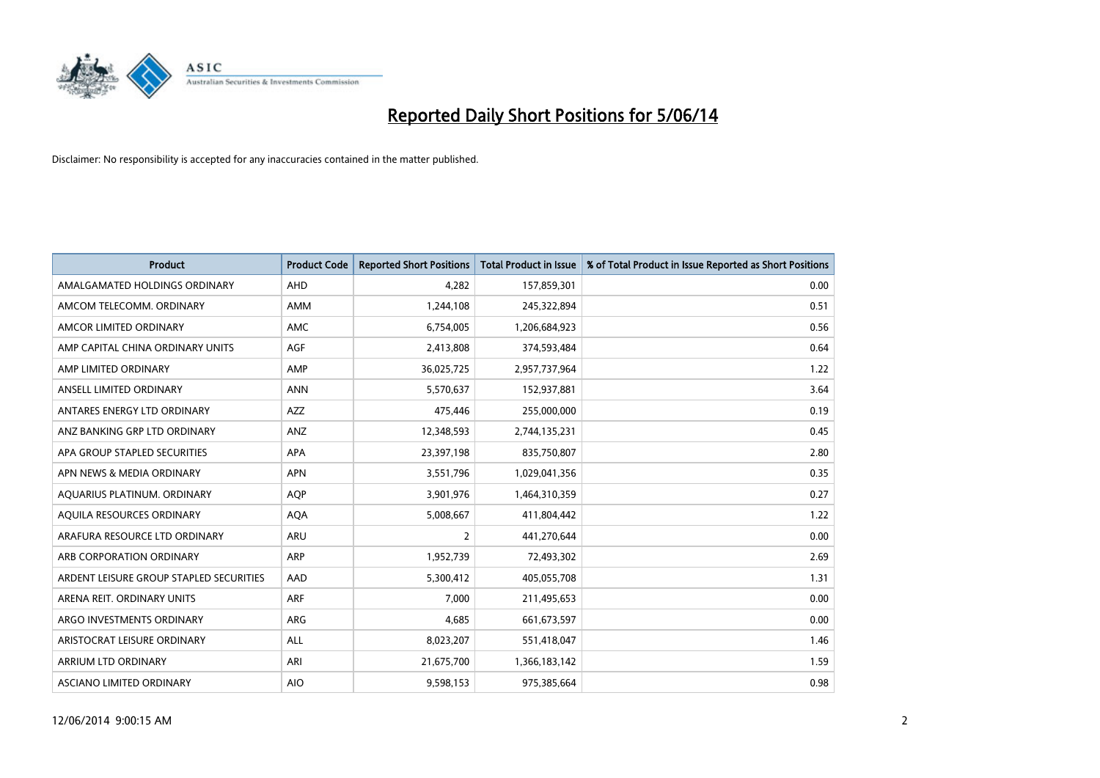

| <b>Product</b>                          | <b>Product Code</b> | <b>Reported Short Positions</b> | <b>Total Product in Issue</b> | % of Total Product in Issue Reported as Short Positions |
|-----------------------------------------|---------------------|---------------------------------|-------------------------------|---------------------------------------------------------|
| AMALGAMATED HOLDINGS ORDINARY           | <b>AHD</b>          | 4.282                           | 157,859,301                   | 0.00                                                    |
| AMCOM TELECOMM. ORDINARY                | <b>AMM</b>          | 1,244,108                       | 245,322,894                   | 0.51                                                    |
| AMCOR LIMITED ORDINARY                  | <b>AMC</b>          | 6,754,005                       | 1,206,684,923                 | 0.56                                                    |
| AMP CAPITAL CHINA ORDINARY UNITS        | <b>AGF</b>          | 2,413,808                       | 374,593,484                   | 0.64                                                    |
| AMP LIMITED ORDINARY                    | AMP                 | 36,025,725                      | 2,957,737,964                 | 1.22                                                    |
| ANSELL LIMITED ORDINARY                 | <b>ANN</b>          | 5,570,637                       | 152,937,881                   | 3.64                                                    |
| ANTARES ENERGY LTD ORDINARY             | <b>AZZ</b>          | 475,446                         | 255,000,000                   | 0.19                                                    |
| ANZ BANKING GRP LTD ORDINARY            | ANZ                 | 12,348,593                      | 2,744,135,231                 | 0.45                                                    |
| APA GROUP STAPLED SECURITIES            | <b>APA</b>          | 23,397,198                      | 835,750,807                   | 2.80                                                    |
| APN NEWS & MEDIA ORDINARY               | <b>APN</b>          | 3,551,796                       | 1,029,041,356                 | 0.35                                                    |
| AQUARIUS PLATINUM. ORDINARY             | <b>AOP</b>          | 3,901,976                       | 1,464,310,359                 | 0.27                                                    |
| AQUILA RESOURCES ORDINARY               | <b>AQA</b>          | 5,008,667                       | 411,804,442                   | 1.22                                                    |
| ARAFURA RESOURCE LTD ORDINARY           | <b>ARU</b>          | 2                               | 441,270,644                   | 0.00                                                    |
| ARB CORPORATION ORDINARY                | <b>ARP</b>          | 1,952,739                       | 72,493,302                    | 2.69                                                    |
| ARDENT LEISURE GROUP STAPLED SECURITIES | AAD                 | 5,300,412                       | 405,055,708                   | 1.31                                                    |
| ARENA REIT. ORDINARY UNITS              | <b>ARF</b>          | 7,000                           | 211,495,653                   | 0.00                                                    |
| ARGO INVESTMENTS ORDINARY               | ARG                 | 4,685                           | 661, 673, 597                 | 0.00                                                    |
| ARISTOCRAT LEISURE ORDINARY             | <b>ALL</b>          | 8,023,207                       | 551,418,047                   | 1.46                                                    |
| <b>ARRIUM LTD ORDINARY</b>              | ARI                 | 21,675,700                      | 1,366,183,142                 | 1.59                                                    |
| ASCIANO LIMITED ORDINARY                | <b>AIO</b>          | 9,598,153                       | 975,385,664                   | 0.98                                                    |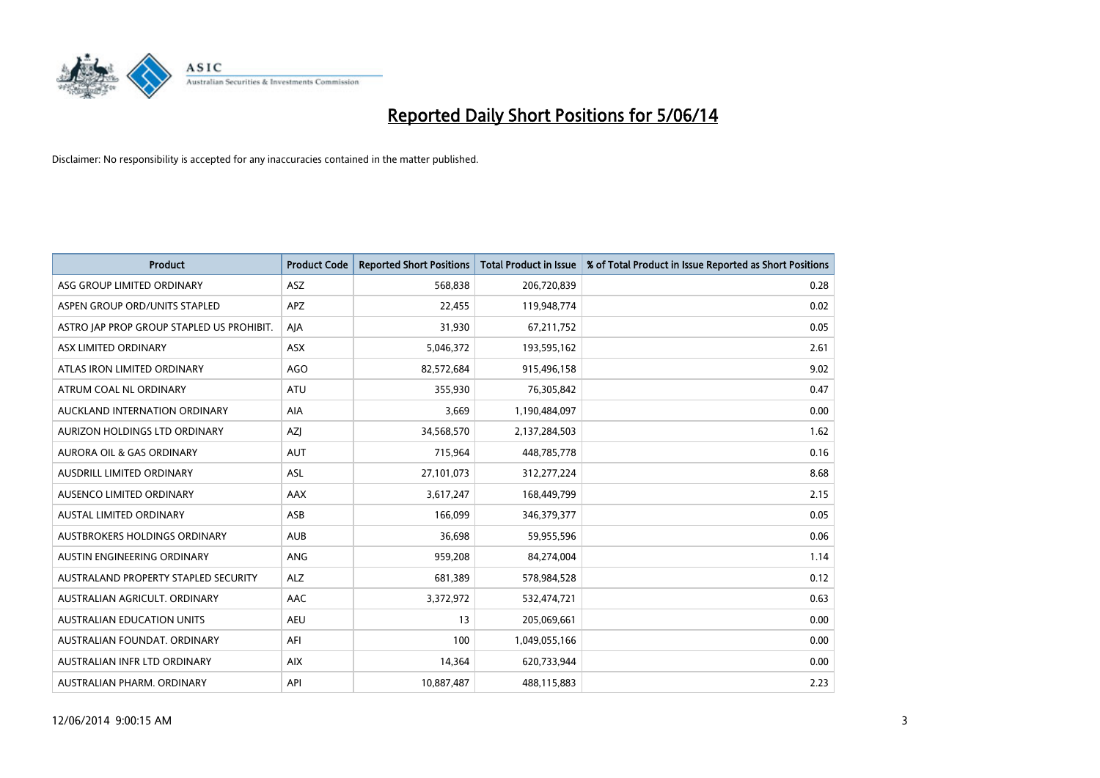

| <b>Product</b>                            | <b>Product Code</b> | <b>Reported Short Positions</b> | <b>Total Product in Issue</b> | % of Total Product in Issue Reported as Short Positions |
|-------------------------------------------|---------------------|---------------------------------|-------------------------------|---------------------------------------------------------|
| ASG GROUP LIMITED ORDINARY                | <b>ASZ</b>          | 568,838                         | 206,720,839                   | 0.28                                                    |
| ASPEN GROUP ORD/UNITS STAPLED             | <b>APZ</b>          | 22,455                          | 119,948,774                   | 0.02                                                    |
| ASTRO JAP PROP GROUP STAPLED US PROHIBIT. | AIA                 | 31,930                          | 67,211,752                    | 0.05                                                    |
| ASX LIMITED ORDINARY                      | ASX                 | 5,046,372                       | 193,595,162                   | 2.61                                                    |
| ATLAS IRON LIMITED ORDINARY               | AGO                 | 82,572,684                      | 915,496,158                   | 9.02                                                    |
| ATRUM COAL NL ORDINARY                    | <b>ATU</b>          | 355,930                         | 76,305,842                    | 0.47                                                    |
| AUCKLAND INTERNATION ORDINARY             | AIA                 | 3,669                           | 1,190,484,097                 | 0.00                                                    |
| <b>AURIZON HOLDINGS LTD ORDINARY</b>      | <b>AZI</b>          | 34,568,570                      | 2,137,284,503                 | 1.62                                                    |
| <b>AURORA OIL &amp; GAS ORDINARY</b>      | <b>AUT</b>          | 715,964                         | 448,785,778                   | 0.16                                                    |
| AUSDRILL LIMITED ORDINARY                 | <b>ASL</b>          | 27,101,073                      | 312,277,224                   | 8.68                                                    |
| AUSENCO LIMITED ORDINARY                  | AAX                 | 3,617,247                       | 168,449,799                   | 2.15                                                    |
| AUSTAL LIMITED ORDINARY                   | ASB                 | 166,099                         | 346, 379, 377                 | 0.05                                                    |
| AUSTBROKERS HOLDINGS ORDINARY             | <b>AUB</b>          | 36,698                          | 59,955,596                    | 0.06                                                    |
| AUSTIN ENGINEERING ORDINARY               | <b>ANG</b>          | 959,208                         | 84,274,004                    | 1.14                                                    |
| AUSTRALAND PROPERTY STAPLED SECURITY      | <b>ALZ</b>          | 681,389                         | 578,984,528                   | 0.12                                                    |
| AUSTRALIAN AGRICULT. ORDINARY             | AAC                 | 3,372,972                       | 532,474,721                   | 0.63                                                    |
| <b>AUSTRALIAN EDUCATION UNITS</b>         | <b>AEU</b>          | 13                              | 205,069,661                   | 0.00                                                    |
| AUSTRALIAN FOUNDAT. ORDINARY              | AFI                 | 100                             | 1,049,055,166                 | 0.00                                                    |
| AUSTRALIAN INFR LTD ORDINARY              | <b>AIX</b>          | 14,364                          | 620,733,944                   | 0.00                                                    |
| AUSTRALIAN PHARM. ORDINARY                | API                 | 10,887,487                      | 488,115,883                   | 2.23                                                    |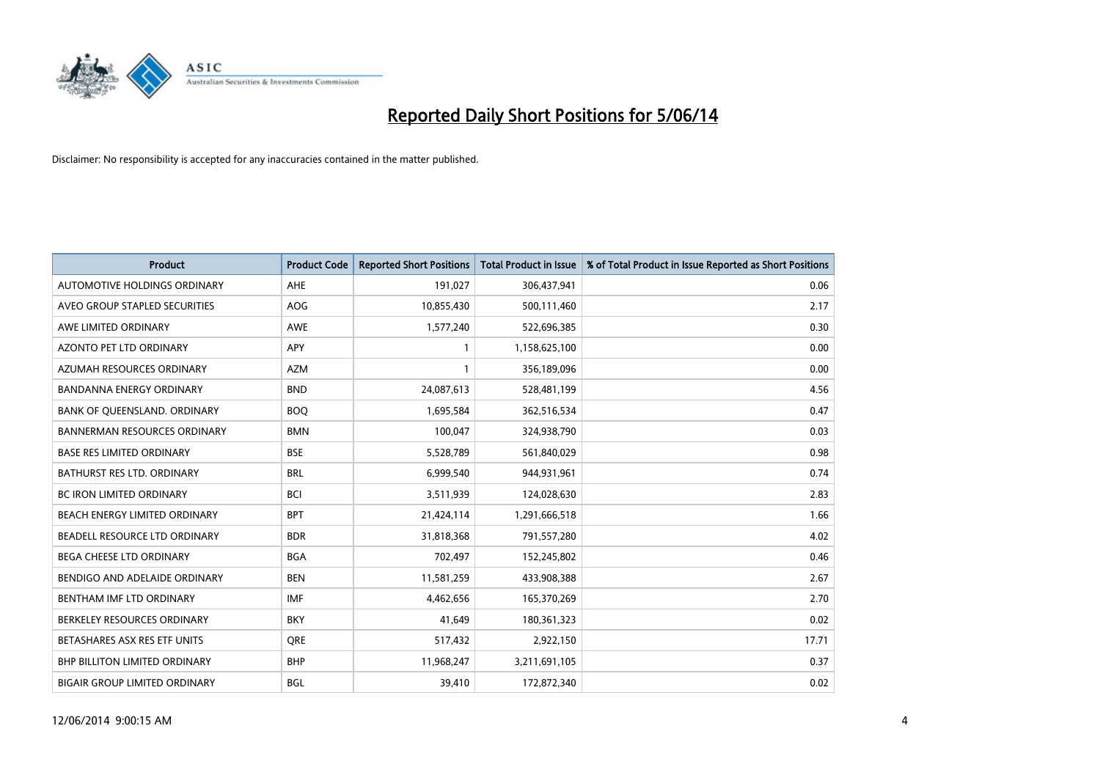

| <b>Product</b>                       | <b>Product Code</b> | <b>Reported Short Positions</b> | <b>Total Product in Issue</b> | % of Total Product in Issue Reported as Short Positions |
|--------------------------------------|---------------------|---------------------------------|-------------------------------|---------------------------------------------------------|
| <b>AUTOMOTIVE HOLDINGS ORDINARY</b>  | AHE                 | 191,027                         | 306,437,941                   | 0.06                                                    |
| AVEO GROUP STAPLED SECURITIES        | <b>AOG</b>          | 10,855,430                      | 500,111,460                   | 2.17                                                    |
| AWE LIMITED ORDINARY                 | AWE                 | 1,577,240                       | 522,696,385                   | 0.30                                                    |
| AZONTO PET LTD ORDINARY              | <b>APY</b>          |                                 | 1,158,625,100                 | 0.00                                                    |
| AZUMAH RESOURCES ORDINARY            | <b>AZM</b>          |                                 | 356,189,096                   | 0.00                                                    |
| BANDANNA ENERGY ORDINARY             | <b>BND</b>          | 24,087,613                      | 528,481,199                   | 4.56                                                    |
| BANK OF QUEENSLAND. ORDINARY         | <b>BOO</b>          | 1,695,584                       | 362,516,534                   | 0.47                                                    |
| <b>BANNERMAN RESOURCES ORDINARY</b>  | <b>BMN</b>          | 100,047                         | 324,938,790                   | 0.03                                                    |
| <b>BASE RES LIMITED ORDINARY</b>     | <b>BSE</b>          | 5,528,789                       | 561,840,029                   | 0.98                                                    |
| <b>BATHURST RES LTD. ORDINARY</b>    | <b>BRL</b>          | 6,999,540                       | 944,931,961                   | 0.74                                                    |
| BC IRON LIMITED ORDINARY             | <b>BCI</b>          | 3,511,939                       | 124,028,630                   | 2.83                                                    |
| <b>BEACH ENERGY LIMITED ORDINARY</b> | <b>BPT</b>          | 21,424,114                      | 1,291,666,518                 | 1.66                                                    |
| BEADELL RESOURCE LTD ORDINARY        | <b>BDR</b>          | 31,818,368                      | 791,557,280                   | 4.02                                                    |
| <b>BEGA CHEESE LTD ORDINARY</b>      | <b>BGA</b>          | 702,497                         | 152,245,802                   | 0.46                                                    |
| BENDIGO AND ADELAIDE ORDINARY        | <b>BEN</b>          | 11,581,259                      | 433,908,388                   | 2.67                                                    |
| BENTHAM IMF LTD ORDINARY             | <b>IMF</b>          | 4,462,656                       | 165,370,269                   | 2.70                                                    |
| BERKELEY RESOURCES ORDINARY          | <b>BKY</b>          | 41,649                          | 180,361,323                   | 0.02                                                    |
| BETASHARES ASX RES ETF UNITS         | <b>ORE</b>          | 517,432                         | 2,922,150                     | 17.71                                                   |
| <b>BHP BILLITON LIMITED ORDINARY</b> | <b>BHP</b>          | 11,968,247                      | 3,211,691,105                 | 0.37                                                    |
| <b>BIGAIR GROUP LIMITED ORDINARY</b> | <b>BGL</b>          | 39.410                          | 172,872,340                   | 0.02                                                    |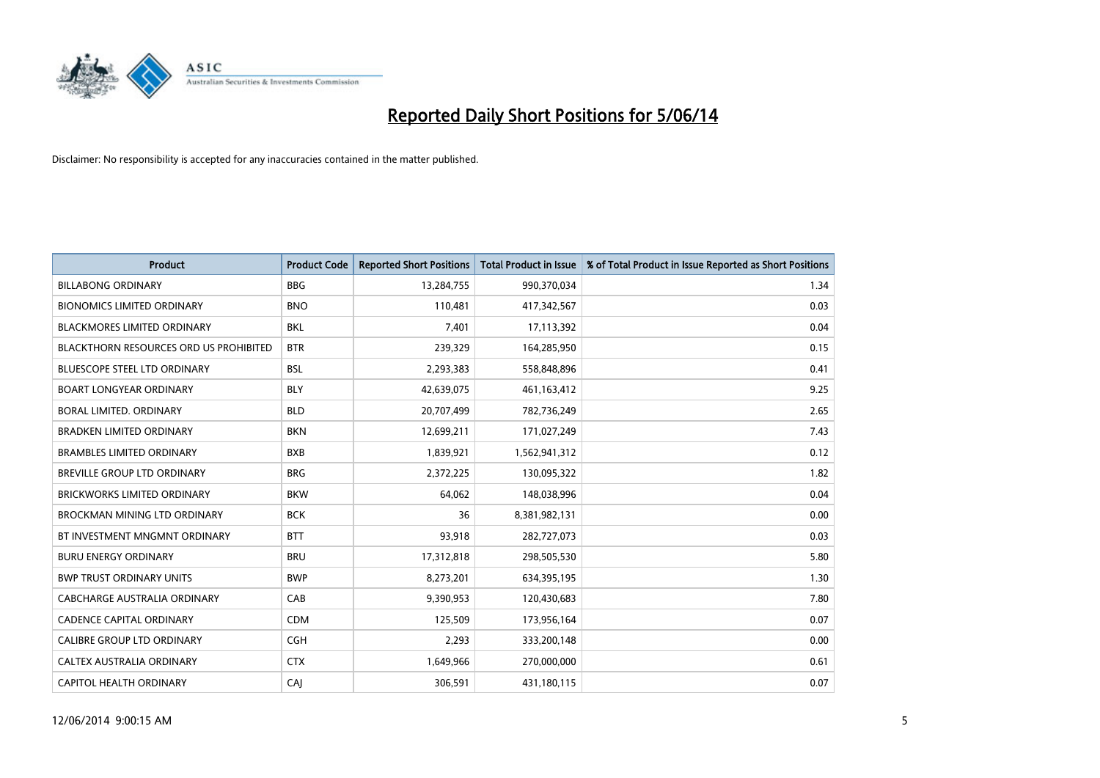

| <b>Product</b>                         | <b>Product Code</b> | <b>Reported Short Positions</b> | <b>Total Product in Issue</b> | % of Total Product in Issue Reported as Short Positions |
|----------------------------------------|---------------------|---------------------------------|-------------------------------|---------------------------------------------------------|
| <b>BILLABONG ORDINARY</b>              | <b>BBG</b>          | 13,284,755                      | 990,370,034                   | 1.34                                                    |
| <b>BIONOMICS LIMITED ORDINARY</b>      | <b>BNO</b>          | 110,481                         | 417,342,567                   | 0.03                                                    |
| <b>BLACKMORES LIMITED ORDINARY</b>     | <b>BKL</b>          | 7,401                           | 17,113,392                    | 0.04                                                    |
| BLACKTHORN RESOURCES ORD US PROHIBITED | <b>BTR</b>          | 239,329                         | 164,285,950                   | 0.15                                                    |
| <b>BLUESCOPE STEEL LTD ORDINARY</b>    | <b>BSL</b>          | 2,293,383                       | 558,848,896                   | 0.41                                                    |
| <b>BOART LONGYEAR ORDINARY</b>         | <b>BLY</b>          | 42,639,075                      | 461,163,412                   | 9.25                                                    |
| BORAL LIMITED, ORDINARY                | <b>BLD</b>          | 20,707,499                      | 782,736,249                   | 2.65                                                    |
| <b>BRADKEN LIMITED ORDINARY</b>        | <b>BKN</b>          | 12,699,211                      | 171,027,249                   | 7.43                                                    |
| <b>BRAMBLES LIMITED ORDINARY</b>       | <b>BXB</b>          | 1,839,921                       | 1,562,941,312                 | 0.12                                                    |
| BREVILLE GROUP LTD ORDINARY            | <b>BRG</b>          | 2,372,225                       | 130,095,322                   | 1.82                                                    |
| BRICKWORKS LIMITED ORDINARY            | <b>BKW</b>          | 64,062                          | 148,038,996                   | 0.04                                                    |
| <b>BROCKMAN MINING LTD ORDINARY</b>    | <b>BCK</b>          | 36                              | 8,381,982,131                 | 0.00                                                    |
| BT INVESTMENT MNGMNT ORDINARY          | <b>BTT</b>          | 93,918                          | 282,727,073                   | 0.03                                                    |
| <b>BURU ENERGY ORDINARY</b>            | <b>BRU</b>          | 17,312,818                      | 298,505,530                   | 5.80                                                    |
| <b>BWP TRUST ORDINARY UNITS</b>        | <b>BWP</b>          | 8,273,201                       | 634,395,195                   | 1.30                                                    |
| CABCHARGE AUSTRALIA ORDINARY           | CAB                 | 9,390,953                       | 120,430,683                   | 7.80                                                    |
| <b>CADENCE CAPITAL ORDINARY</b>        | <b>CDM</b>          | 125,509                         | 173,956,164                   | 0.07                                                    |
| CALIBRE GROUP LTD ORDINARY             | <b>CGH</b>          | 2,293                           | 333,200,148                   | 0.00                                                    |
| CALTEX AUSTRALIA ORDINARY              | <b>CTX</b>          | 1,649,966                       | 270,000,000                   | 0.61                                                    |
| CAPITOL HEALTH ORDINARY                | CAI                 | 306,591                         | 431,180,115                   | 0.07                                                    |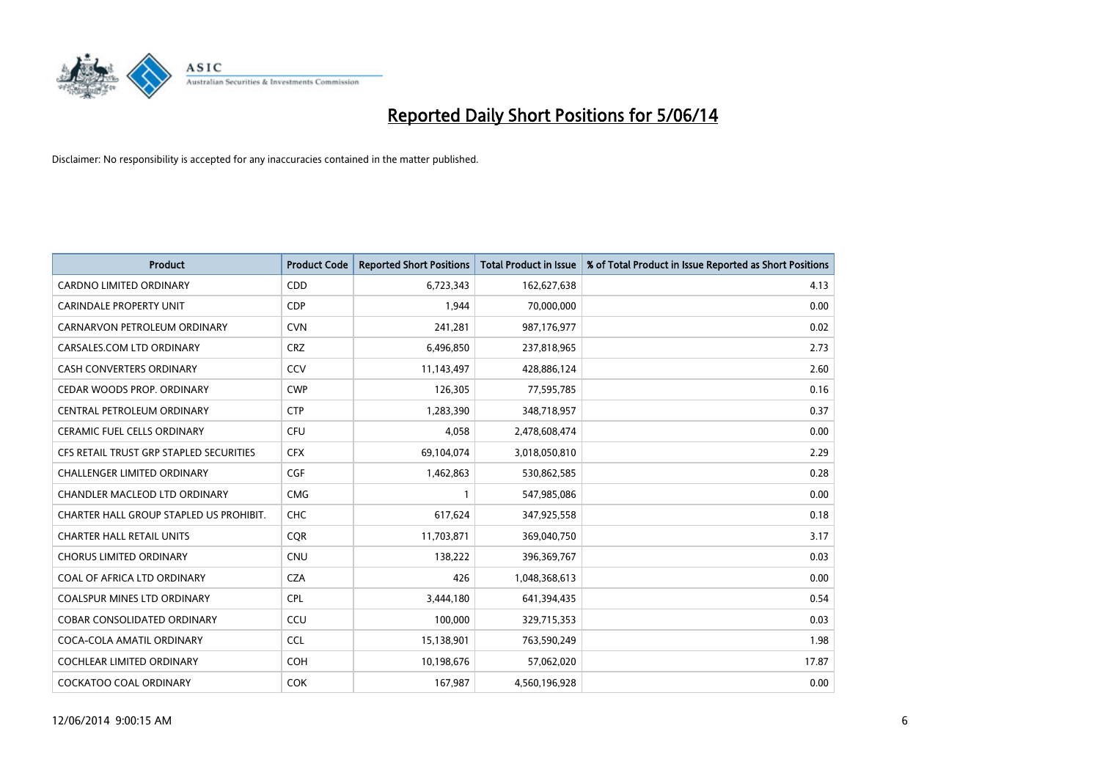

| <b>Product</b>                          | <b>Product Code</b> | <b>Reported Short Positions</b> | <b>Total Product in Issue</b> | % of Total Product in Issue Reported as Short Positions |
|-----------------------------------------|---------------------|---------------------------------|-------------------------------|---------------------------------------------------------|
| CARDNO LIMITED ORDINARY                 | CDD                 | 6,723,343                       | 162,627,638                   | 4.13                                                    |
| <b>CARINDALE PROPERTY UNIT</b>          | <b>CDP</b>          | 1,944                           | 70,000,000                    | 0.00                                                    |
| CARNARVON PETROLEUM ORDINARY            | <b>CVN</b>          | 241,281                         | 987,176,977                   | 0.02                                                    |
| CARSALES.COM LTD ORDINARY               | <b>CRZ</b>          | 6,496,850                       | 237,818,965                   | 2.73                                                    |
| CASH CONVERTERS ORDINARY                | CCV                 | 11,143,497                      | 428,886,124                   | 2.60                                                    |
| CEDAR WOODS PROP. ORDINARY              | <b>CWP</b>          | 126,305                         | 77,595,785                    | 0.16                                                    |
| CENTRAL PETROLEUM ORDINARY              | <b>CTP</b>          | 1,283,390                       | 348,718,957                   | 0.37                                                    |
| <b>CERAMIC FUEL CELLS ORDINARY</b>      | <b>CFU</b>          | 4,058                           | 2,478,608,474                 | 0.00                                                    |
| CFS RETAIL TRUST GRP STAPLED SECURITIES | <b>CFX</b>          | 69,104,074                      | 3,018,050,810                 | 2.29                                                    |
| <b>CHALLENGER LIMITED ORDINARY</b>      | <b>CGF</b>          | 1,462,863                       | 530,862,585                   | 0.28                                                    |
| CHANDLER MACLEOD LTD ORDINARY           | <b>CMG</b>          |                                 | 547,985,086                   | 0.00                                                    |
| CHARTER HALL GROUP STAPLED US PROHIBIT. | <b>CHC</b>          | 617,624                         | 347,925,558                   | 0.18                                                    |
| <b>CHARTER HALL RETAIL UNITS</b>        | <b>CQR</b>          | 11,703,871                      | 369,040,750                   | 3.17                                                    |
| <b>CHORUS LIMITED ORDINARY</b>          | <b>CNU</b>          | 138,222                         | 396,369,767                   | 0.03                                                    |
| COAL OF AFRICA LTD ORDINARY             | <b>CZA</b>          | 426                             | 1,048,368,613                 | 0.00                                                    |
| COALSPUR MINES LTD ORDINARY             | <b>CPL</b>          | 3,444,180                       | 641,394,435                   | 0.54                                                    |
| <b>COBAR CONSOLIDATED ORDINARY</b>      | CCU                 | 100,000                         | 329,715,353                   | 0.03                                                    |
| COCA-COLA AMATIL ORDINARY               | <b>CCL</b>          | 15,138,901                      | 763,590,249                   | 1.98                                                    |
| COCHLEAR LIMITED ORDINARY               | <b>COH</b>          | 10,198,676                      | 57,062,020                    | 17.87                                                   |
| <b>COCKATOO COAL ORDINARY</b>           | <b>COK</b>          | 167,987                         | 4,560,196,928                 | 0.00                                                    |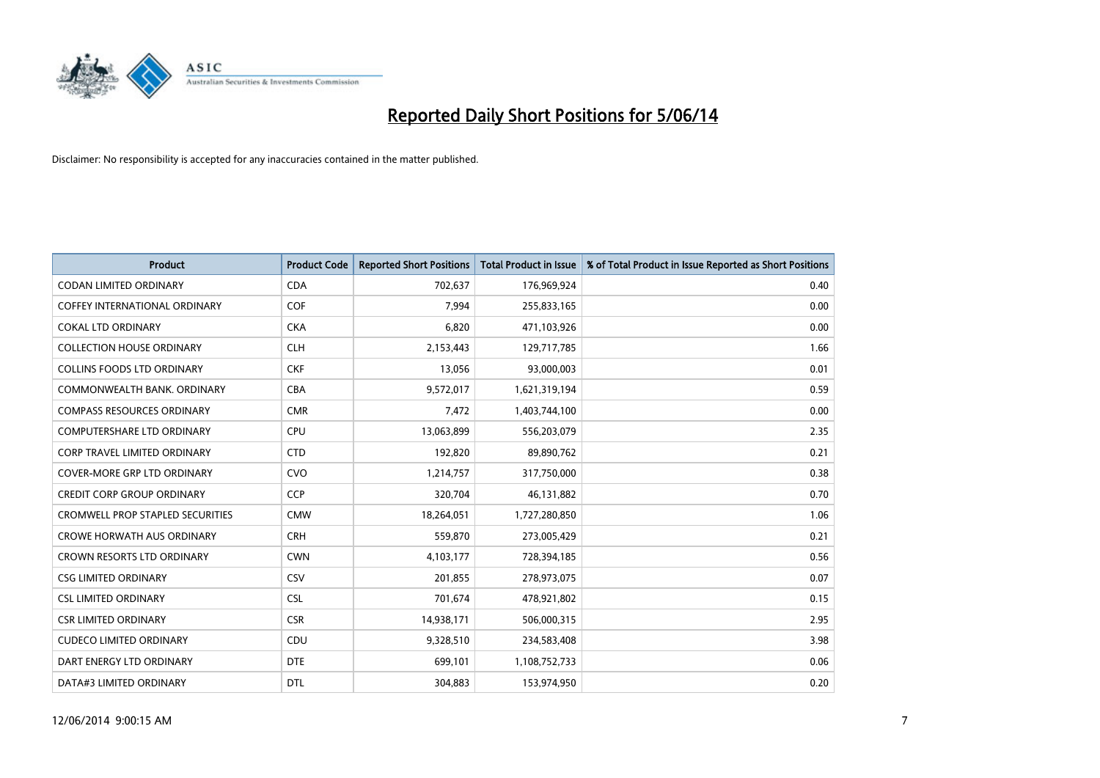

| <b>Product</b>                          | <b>Product Code</b> | <b>Reported Short Positions</b> | <b>Total Product in Issue</b> | % of Total Product in Issue Reported as Short Positions |
|-----------------------------------------|---------------------|---------------------------------|-------------------------------|---------------------------------------------------------|
| <b>CODAN LIMITED ORDINARY</b>           | <b>CDA</b>          | 702,637                         | 176,969,924                   | 0.40                                                    |
| COFFEY INTERNATIONAL ORDINARY           | <b>COF</b>          | 7,994                           | 255,833,165                   | 0.00                                                    |
| <b>COKAL LTD ORDINARY</b>               | <b>CKA</b>          | 6,820                           | 471,103,926                   | 0.00                                                    |
| <b>COLLECTION HOUSE ORDINARY</b>        | <b>CLH</b>          | 2,153,443                       | 129,717,785                   | 1.66                                                    |
| COLLINS FOODS LTD ORDINARY              | <b>CKF</b>          | 13,056                          | 93,000,003                    | 0.01                                                    |
| COMMONWEALTH BANK, ORDINARY             | <b>CBA</b>          | 9,572,017                       | 1,621,319,194                 | 0.59                                                    |
| <b>COMPASS RESOURCES ORDINARY</b>       | <b>CMR</b>          | 7,472                           | 1,403,744,100                 | 0.00                                                    |
| <b>COMPUTERSHARE LTD ORDINARY</b>       | <b>CPU</b>          | 13,063,899                      | 556,203,079                   | 2.35                                                    |
| <b>CORP TRAVEL LIMITED ORDINARY</b>     | <b>CTD</b>          | 192,820                         | 89,890,762                    | 0.21                                                    |
| <b>COVER-MORE GRP LTD ORDINARY</b>      | <b>CVO</b>          | 1,214,757                       | 317,750,000                   | 0.38                                                    |
| <b>CREDIT CORP GROUP ORDINARY</b>       | <b>CCP</b>          | 320,704                         | 46,131,882                    | 0.70                                                    |
| <b>CROMWELL PROP STAPLED SECURITIES</b> | <b>CMW</b>          | 18,264,051                      | 1,727,280,850                 | 1.06                                                    |
| <b>CROWE HORWATH AUS ORDINARY</b>       | <b>CRH</b>          | 559,870                         | 273,005,429                   | 0.21                                                    |
| <b>CROWN RESORTS LTD ORDINARY</b>       | <b>CWN</b>          | 4,103,177                       | 728,394,185                   | 0.56                                                    |
| <b>CSG LIMITED ORDINARY</b>             | CSV                 | 201,855                         | 278,973,075                   | 0.07                                                    |
| <b>CSL LIMITED ORDINARY</b>             | <b>CSL</b>          | 701,674                         | 478,921,802                   | 0.15                                                    |
| <b>CSR LIMITED ORDINARY</b>             | <b>CSR</b>          | 14,938,171                      | 506,000,315                   | 2.95                                                    |
| <b>CUDECO LIMITED ORDINARY</b>          | CDU                 | 9,328,510                       | 234,583,408                   | 3.98                                                    |
| DART ENERGY LTD ORDINARY                | <b>DTE</b>          | 699,101                         | 1,108,752,733                 | 0.06                                                    |
| DATA#3 LIMITED ORDINARY                 | <b>DTL</b>          | 304,883                         | 153,974,950                   | 0.20                                                    |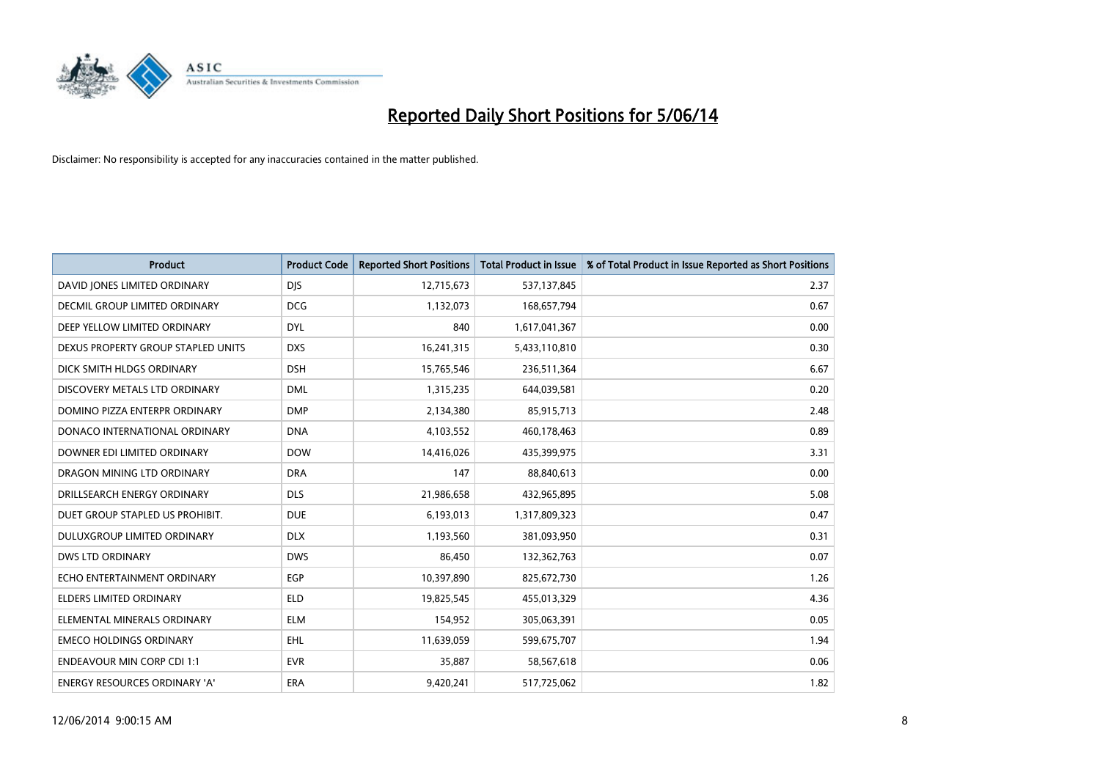

| <b>Product</b>                       | <b>Product Code</b> | <b>Reported Short Positions</b> | <b>Total Product in Issue</b> | % of Total Product in Issue Reported as Short Positions |
|--------------------------------------|---------------------|---------------------------------|-------------------------------|---------------------------------------------------------|
| DAVID JONES LIMITED ORDINARY         | <b>DJS</b>          | 12,715,673                      | 537,137,845                   | 2.37                                                    |
| DECMIL GROUP LIMITED ORDINARY        | <b>DCG</b>          | 1,132,073                       | 168,657,794                   | 0.67                                                    |
| DEEP YELLOW LIMITED ORDINARY         | <b>DYL</b>          | 840                             | 1,617,041,367                 | 0.00                                                    |
| DEXUS PROPERTY GROUP STAPLED UNITS   | <b>DXS</b>          | 16,241,315                      | 5,433,110,810                 | 0.30                                                    |
| DICK SMITH HLDGS ORDINARY            | <b>DSH</b>          | 15,765,546                      | 236,511,364                   | 6.67                                                    |
| DISCOVERY METALS LTD ORDINARY        | <b>DML</b>          | 1,315,235                       | 644,039,581                   | 0.20                                                    |
| DOMINO PIZZA ENTERPR ORDINARY        | <b>DMP</b>          | 2,134,380                       | 85,915,713                    | 2.48                                                    |
| DONACO INTERNATIONAL ORDINARY        | <b>DNA</b>          | 4,103,552                       | 460,178,463                   | 0.89                                                    |
| DOWNER EDI LIMITED ORDINARY          | <b>DOW</b>          | 14,416,026                      | 435,399,975                   | 3.31                                                    |
| DRAGON MINING LTD ORDINARY           | <b>DRA</b>          | 147                             | 88,840,613                    | 0.00                                                    |
| DRILLSEARCH ENERGY ORDINARY          | <b>DLS</b>          | 21,986,658                      | 432,965,895                   | 5.08                                                    |
| DUET GROUP STAPLED US PROHIBIT.      | <b>DUE</b>          | 6,193,013                       | 1,317,809,323                 | 0.47                                                    |
| DULUXGROUP LIMITED ORDINARY          | <b>DLX</b>          | 1,193,560                       | 381,093,950                   | 0.31                                                    |
| <b>DWS LTD ORDINARY</b>              | <b>DWS</b>          | 86,450                          | 132,362,763                   | 0.07                                                    |
| ECHO ENTERTAINMENT ORDINARY          | EGP                 | 10,397,890                      | 825,672,730                   | 1.26                                                    |
| ELDERS LIMITED ORDINARY              | <b>ELD</b>          | 19,825,545                      | 455,013,329                   | 4.36                                                    |
| ELEMENTAL MINERALS ORDINARY          | <b>ELM</b>          | 154,952                         | 305,063,391                   | 0.05                                                    |
| <b>EMECO HOLDINGS ORDINARY</b>       | <b>EHL</b>          | 11,639,059                      | 599,675,707                   | 1.94                                                    |
| <b>ENDEAVOUR MIN CORP CDI 1:1</b>    | <b>EVR</b>          | 35,887                          | 58,567,618                    | 0.06                                                    |
| <b>ENERGY RESOURCES ORDINARY 'A'</b> | <b>ERA</b>          | 9.420.241                       | 517,725,062                   | 1.82                                                    |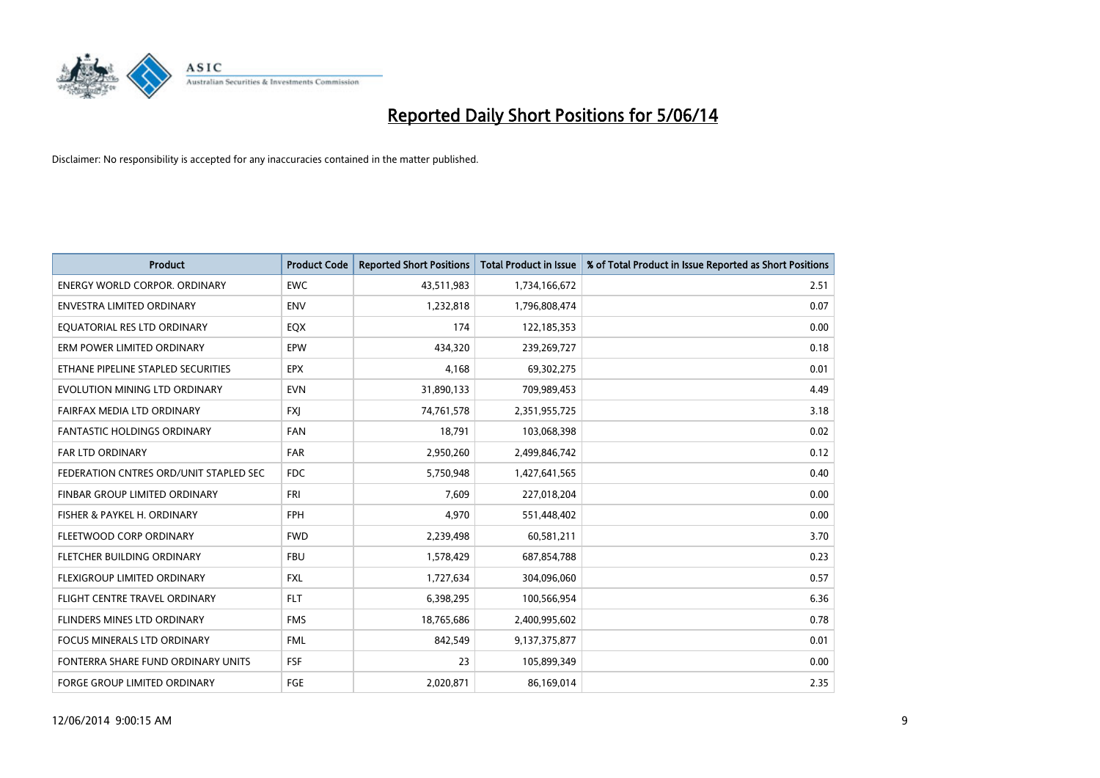

| <b>Product</b>                         | <b>Product Code</b> | <b>Reported Short Positions</b> | <b>Total Product in Issue</b> | % of Total Product in Issue Reported as Short Positions |
|----------------------------------------|---------------------|---------------------------------|-------------------------------|---------------------------------------------------------|
| <b>ENERGY WORLD CORPOR, ORDINARY</b>   | <b>EWC</b>          | 43,511,983                      | 1,734,166,672                 | 2.51                                                    |
| <b>ENVESTRA LIMITED ORDINARY</b>       | <b>ENV</b>          | 1,232,818                       | 1,796,808,474                 | 0.07                                                    |
| EQUATORIAL RES LTD ORDINARY            | EQX                 | 174                             | 122,185,353                   | 0.00                                                    |
| ERM POWER LIMITED ORDINARY             | EPW                 | 434,320                         | 239,269,727                   | 0.18                                                    |
| ETHANE PIPELINE STAPLED SECURITIES     | <b>EPX</b>          | 4,168                           | 69,302,275                    | 0.01                                                    |
| EVOLUTION MINING LTD ORDINARY          | <b>EVN</b>          | 31,890,133                      | 709,989,453                   | 4.49                                                    |
| FAIRFAX MEDIA LTD ORDINARY             | <b>FXI</b>          | 74,761,578                      | 2,351,955,725                 | 3.18                                                    |
| <b>FANTASTIC HOLDINGS ORDINARY</b>     | <b>FAN</b>          | 18,791                          | 103,068,398                   | 0.02                                                    |
| <b>FAR LTD ORDINARY</b>                | <b>FAR</b>          | 2,950,260                       | 2,499,846,742                 | 0.12                                                    |
| FEDERATION CNTRES ORD/UNIT STAPLED SEC | <b>FDC</b>          | 5,750,948                       | 1,427,641,565                 | 0.40                                                    |
| FINBAR GROUP LIMITED ORDINARY          | <b>FRI</b>          | 7.609                           | 227,018,204                   | 0.00                                                    |
| FISHER & PAYKEL H. ORDINARY            | <b>FPH</b>          | 4,970                           | 551,448,402                   | 0.00                                                    |
| FLEETWOOD CORP ORDINARY                | <b>FWD</b>          | 2,239,498                       | 60,581,211                    | 3.70                                                    |
| FLETCHER BUILDING ORDINARY             | <b>FBU</b>          | 1,578,429                       | 687,854,788                   | 0.23                                                    |
| <b>FLEXIGROUP LIMITED ORDINARY</b>     | <b>FXL</b>          | 1,727,634                       | 304,096,060                   | 0.57                                                    |
| FLIGHT CENTRE TRAVEL ORDINARY          | <b>FLT</b>          | 6,398,295                       | 100,566,954                   | 6.36                                                    |
| FLINDERS MINES LTD ORDINARY            | <b>FMS</b>          | 18,765,686                      | 2,400,995,602                 | 0.78                                                    |
| FOCUS MINERALS LTD ORDINARY            | <b>FML</b>          | 842,549                         | 9,137,375,877                 | 0.01                                                    |
| FONTERRA SHARE FUND ORDINARY UNITS     | FSF                 | 23                              | 105,899,349                   | 0.00                                                    |
| <b>FORGE GROUP LIMITED ORDINARY</b>    | FGE                 | 2,020,871                       | 86,169,014                    | 2.35                                                    |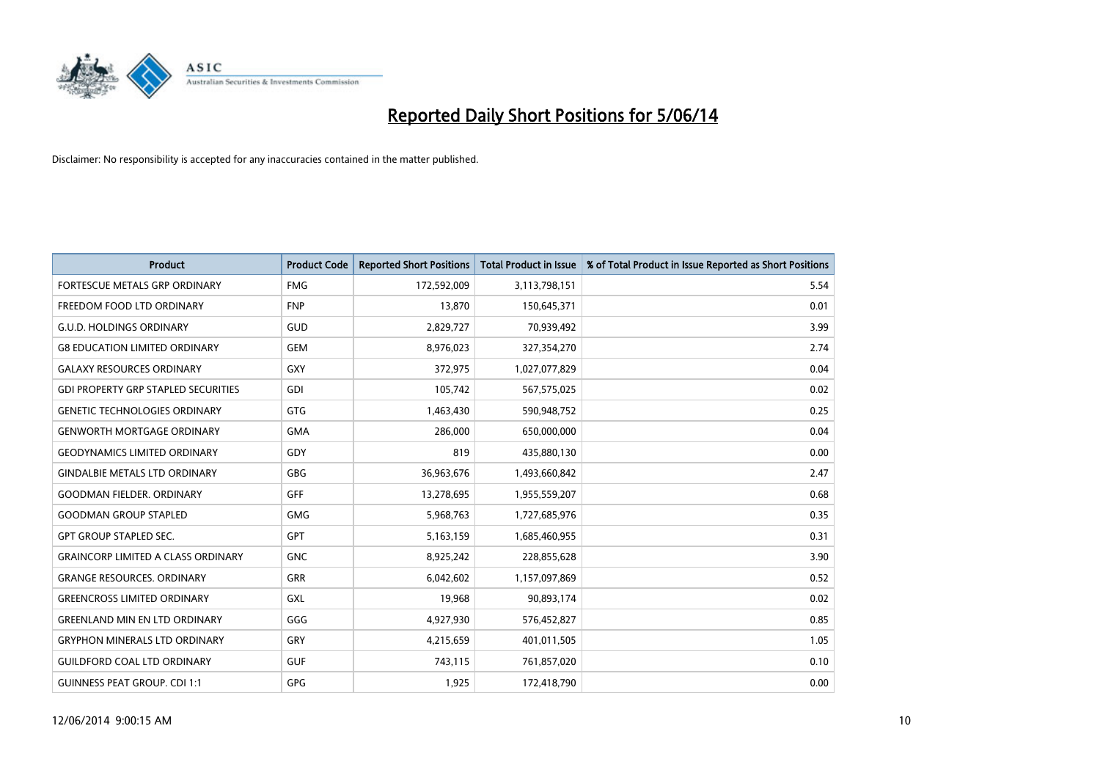

| <b>Product</b>                             | <b>Product Code</b> | <b>Reported Short Positions</b> | <b>Total Product in Issue</b> | % of Total Product in Issue Reported as Short Positions |
|--------------------------------------------|---------------------|---------------------------------|-------------------------------|---------------------------------------------------------|
| <b>FORTESCUE METALS GRP ORDINARY</b>       | <b>FMG</b>          | 172,592,009                     | 3,113,798,151                 | 5.54                                                    |
| FREEDOM FOOD LTD ORDINARY                  | <b>FNP</b>          | 13,870                          | 150,645,371                   | 0.01                                                    |
| <b>G.U.D. HOLDINGS ORDINARY</b>            | GUD                 | 2,829,727                       | 70,939,492                    | 3.99                                                    |
| <b>G8 EDUCATION LIMITED ORDINARY</b>       | <b>GEM</b>          | 8,976,023                       | 327,354,270                   | 2.74                                                    |
| <b>GALAXY RESOURCES ORDINARY</b>           | <b>GXY</b>          | 372,975                         | 1,027,077,829                 | 0.04                                                    |
| <b>GDI PROPERTY GRP STAPLED SECURITIES</b> | <b>GDI</b>          | 105,742                         | 567,575,025                   | 0.02                                                    |
| <b>GENETIC TECHNOLOGIES ORDINARY</b>       | <b>GTG</b>          | 1,463,430                       | 590,948,752                   | 0.25                                                    |
| <b>GENWORTH MORTGAGE ORDINARY</b>          | <b>GMA</b>          | 286,000                         | 650,000,000                   | 0.04                                                    |
| <b>GEODYNAMICS LIMITED ORDINARY</b>        | GDY                 | 819                             | 435,880,130                   | 0.00                                                    |
| <b>GINDALBIE METALS LTD ORDINARY</b>       | <b>GBG</b>          | 36,963,676                      | 1,493,660,842                 | 2.47                                                    |
| <b>GOODMAN FIELDER. ORDINARY</b>           | <b>GFF</b>          | 13,278,695                      | 1,955,559,207                 | 0.68                                                    |
| <b>GOODMAN GROUP STAPLED</b>               | <b>GMG</b>          | 5,968,763                       | 1,727,685,976                 | 0.35                                                    |
| <b>GPT GROUP STAPLED SEC.</b>              | <b>GPT</b>          | 5,163,159                       | 1,685,460,955                 | 0.31                                                    |
| <b>GRAINCORP LIMITED A CLASS ORDINARY</b>  | <b>GNC</b>          | 8,925,242                       | 228,855,628                   | 3.90                                                    |
| <b>GRANGE RESOURCES, ORDINARY</b>          | <b>GRR</b>          | 6,042,602                       | 1,157,097,869                 | 0.52                                                    |
| <b>GREENCROSS LIMITED ORDINARY</b>         | GXL                 | 19,968                          | 90,893,174                    | 0.02                                                    |
| <b>GREENLAND MIN EN LTD ORDINARY</b>       | GGG                 | 4,927,930                       | 576,452,827                   | 0.85                                                    |
| <b>GRYPHON MINERALS LTD ORDINARY</b>       | GRY                 | 4,215,659                       | 401,011,505                   | 1.05                                                    |
| <b>GUILDFORD COAL LTD ORDINARY</b>         | <b>GUF</b>          | 743,115                         | 761,857,020                   | 0.10                                                    |
| <b>GUINNESS PEAT GROUP. CDI 1:1</b>        | <b>GPG</b>          | 1,925                           | 172,418,790                   | 0.00                                                    |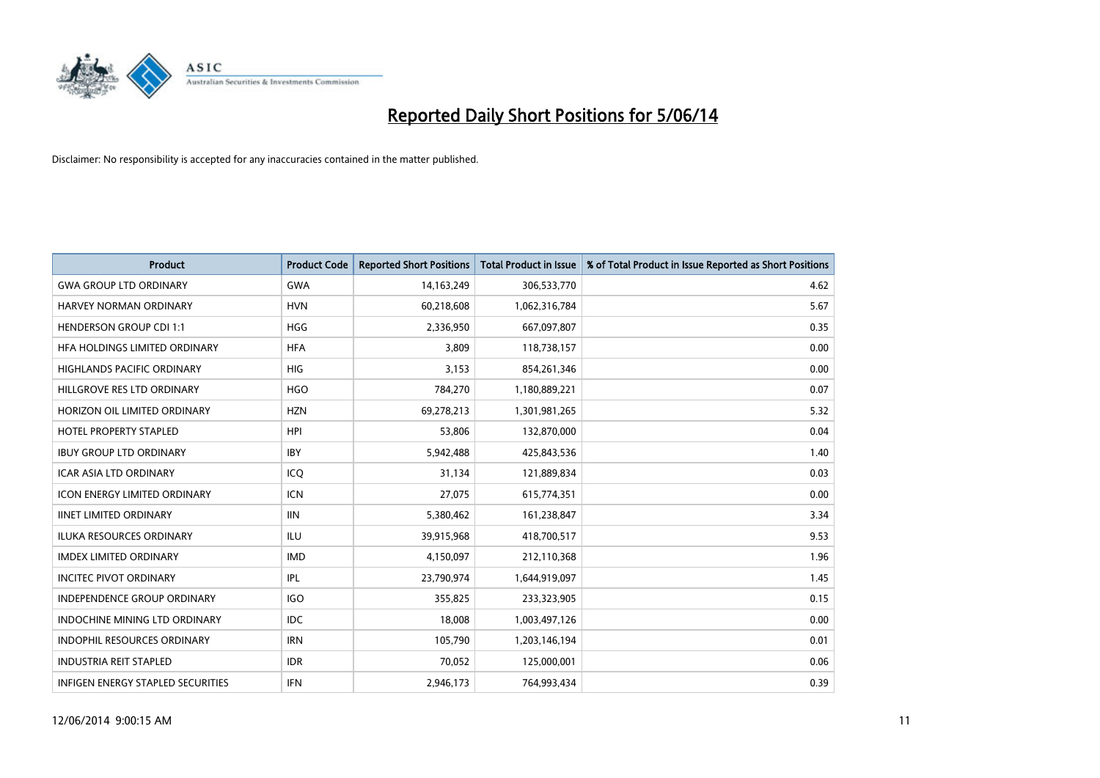

| <b>Product</b>                           | <b>Product Code</b> | <b>Reported Short Positions</b> | <b>Total Product in Issue</b> | % of Total Product in Issue Reported as Short Positions |
|------------------------------------------|---------------------|---------------------------------|-------------------------------|---------------------------------------------------------|
| <b>GWA GROUP LTD ORDINARY</b>            | <b>GWA</b>          | 14,163,249                      | 306,533,770                   | 4.62                                                    |
| HARVEY NORMAN ORDINARY                   | <b>HVN</b>          | 60,218,608                      | 1,062,316,784                 | 5.67                                                    |
| <b>HENDERSON GROUP CDI 1:1</b>           | <b>HGG</b>          | 2,336,950                       | 667,097,807                   | 0.35                                                    |
| HFA HOLDINGS LIMITED ORDINARY            | <b>HFA</b>          | 3,809                           | 118,738,157                   | 0.00                                                    |
| <b>HIGHLANDS PACIFIC ORDINARY</b>        | <b>HIG</b>          | 3,153                           | 854,261,346                   | 0.00                                                    |
| HILLGROVE RES LTD ORDINARY               | <b>HGO</b>          | 784,270                         | 1,180,889,221                 | 0.07                                                    |
| HORIZON OIL LIMITED ORDINARY             | <b>HZN</b>          | 69,278,213                      | 1,301,981,265                 | 5.32                                                    |
| <b>HOTEL PROPERTY STAPLED</b>            | <b>HPI</b>          | 53,806                          | 132,870,000                   | 0.04                                                    |
| <b>IBUY GROUP LTD ORDINARY</b>           | <b>IBY</b>          | 5,942,488                       | 425,843,536                   | 1.40                                                    |
| <b>ICAR ASIA LTD ORDINARY</b>            | ICO                 | 31,134                          | 121,889,834                   | 0.03                                                    |
| <b>ICON ENERGY LIMITED ORDINARY</b>      | <b>ICN</b>          | 27,075                          | 615,774,351                   | 0.00                                                    |
| <b>IINET LIMITED ORDINARY</b>            | <b>IIN</b>          | 5,380,462                       | 161,238,847                   | 3.34                                                    |
| ILUKA RESOURCES ORDINARY                 | ILU                 | 39,915,968                      | 418,700,517                   | 9.53                                                    |
| <b>IMDEX LIMITED ORDINARY</b>            | <b>IMD</b>          | 4,150,097                       | 212,110,368                   | 1.96                                                    |
| <b>INCITEC PIVOT ORDINARY</b>            | IPL                 | 23,790,974                      | 1,644,919,097                 | 1.45                                                    |
| INDEPENDENCE GROUP ORDINARY              | <b>IGO</b>          | 355,825                         | 233,323,905                   | 0.15                                                    |
| <b>INDOCHINE MINING LTD ORDINARY</b>     | <b>IDC</b>          | 18,008                          | 1,003,497,126                 | 0.00                                                    |
| INDOPHIL RESOURCES ORDINARY              | <b>IRN</b>          | 105,790                         | 1,203,146,194                 | 0.01                                                    |
| <b>INDUSTRIA REIT STAPLED</b>            | <b>IDR</b>          | 70,052                          | 125,000,001                   | 0.06                                                    |
| <b>INFIGEN ENERGY STAPLED SECURITIES</b> | <b>IFN</b>          | 2,946,173                       | 764.993.434                   | 0.39                                                    |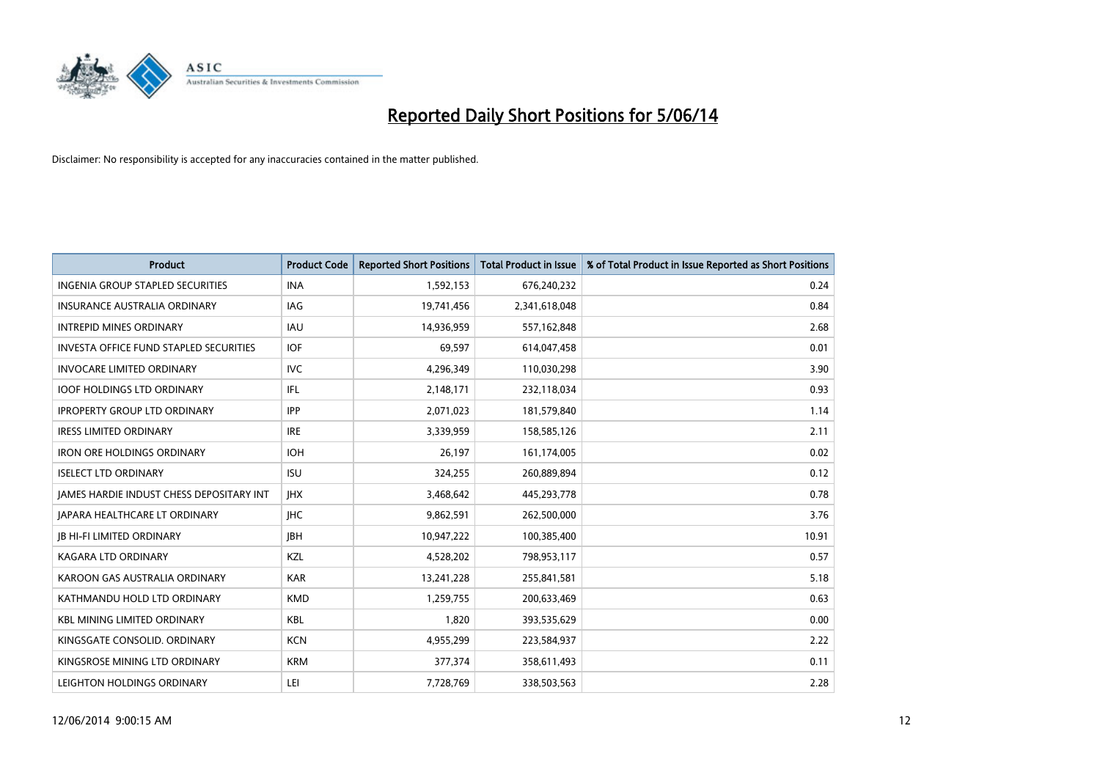

| <b>Product</b>                                  | <b>Product Code</b> | <b>Reported Short Positions</b> | <b>Total Product in Issue</b> | % of Total Product in Issue Reported as Short Positions |
|-------------------------------------------------|---------------------|---------------------------------|-------------------------------|---------------------------------------------------------|
| <b>INGENIA GROUP STAPLED SECURITIES</b>         | <b>INA</b>          | 1,592,153                       | 676,240,232                   | 0.24                                                    |
| INSURANCE AUSTRALIA ORDINARY                    | IAG.                | 19,741,456                      | 2,341,618,048                 | 0.84                                                    |
| <b>INTREPID MINES ORDINARY</b>                  | <b>IAU</b>          | 14,936,959                      | 557,162,848                   | 2.68                                                    |
| INVESTA OFFICE FUND STAPLED SECURITIES          | <b>IOF</b>          | 69,597                          | 614,047,458                   | 0.01                                                    |
| <b>INVOCARE LIMITED ORDINARY</b>                | IVC                 | 4,296,349                       | 110,030,298                   | 3.90                                                    |
| <b>IOOF HOLDINGS LTD ORDINARY</b>               | IFL.                | 2,148,171                       | 232,118,034                   | 0.93                                                    |
| <b>IPROPERTY GROUP LTD ORDINARY</b>             | <b>IPP</b>          | 2,071,023                       | 181,579,840                   | 1.14                                                    |
| <b>IRESS LIMITED ORDINARY</b>                   | <b>IRE</b>          | 3,339,959                       | 158,585,126                   | 2.11                                                    |
| <b>IRON ORE HOLDINGS ORDINARY</b>               | <b>IOH</b>          | 26,197                          | 161,174,005                   | 0.02                                                    |
| <b>ISELECT LTD ORDINARY</b>                     | <b>ISU</b>          | 324,255                         | 260,889,894                   | 0.12                                                    |
| <b>JAMES HARDIE INDUST CHESS DEPOSITARY INT</b> | <b>IHX</b>          | 3,468,642                       | 445,293,778                   | 0.78                                                    |
| JAPARA HEALTHCARE LT ORDINARY                   | <b>IHC</b>          | 9,862,591                       | 262,500,000                   | 3.76                                                    |
| <b>IB HI-FI LIMITED ORDINARY</b>                | <b>IBH</b>          | 10,947,222                      | 100,385,400                   | 10.91                                                   |
| <b>KAGARA LTD ORDINARY</b>                      | <b>KZL</b>          | 4,528,202                       | 798,953,117                   | 0.57                                                    |
| KAROON GAS AUSTRALIA ORDINARY                   | <b>KAR</b>          | 13,241,228                      | 255,841,581                   | 5.18                                                    |
| KATHMANDU HOLD LTD ORDINARY                     | <b>KMD</b>          | 1,259,755                       | 200,633,469                   | 0.63                                                    |
| <b>KBL MINING LIMITED ORDINARY</b>              | <b>KBL</b>          | 1,820                           | 393,535,629                   | 0.00                                                    |
| KINGSGATE CONSOLID. ORDINARY                    | <b>KCN</b>          | 4,955,299                       | 223,584,937                   | 2.22                                                    |
| KINGSROSE MINING LTD ORDINARY                   | <b>KRM</b>          | 377,374                         | 358,611,493                   | 0.11                                                    |
| LEIGHTON HOLDINGS ORDINARY                      | LEI                 | 7,728,769                       | 338,503,563                   | 2.28                                                    |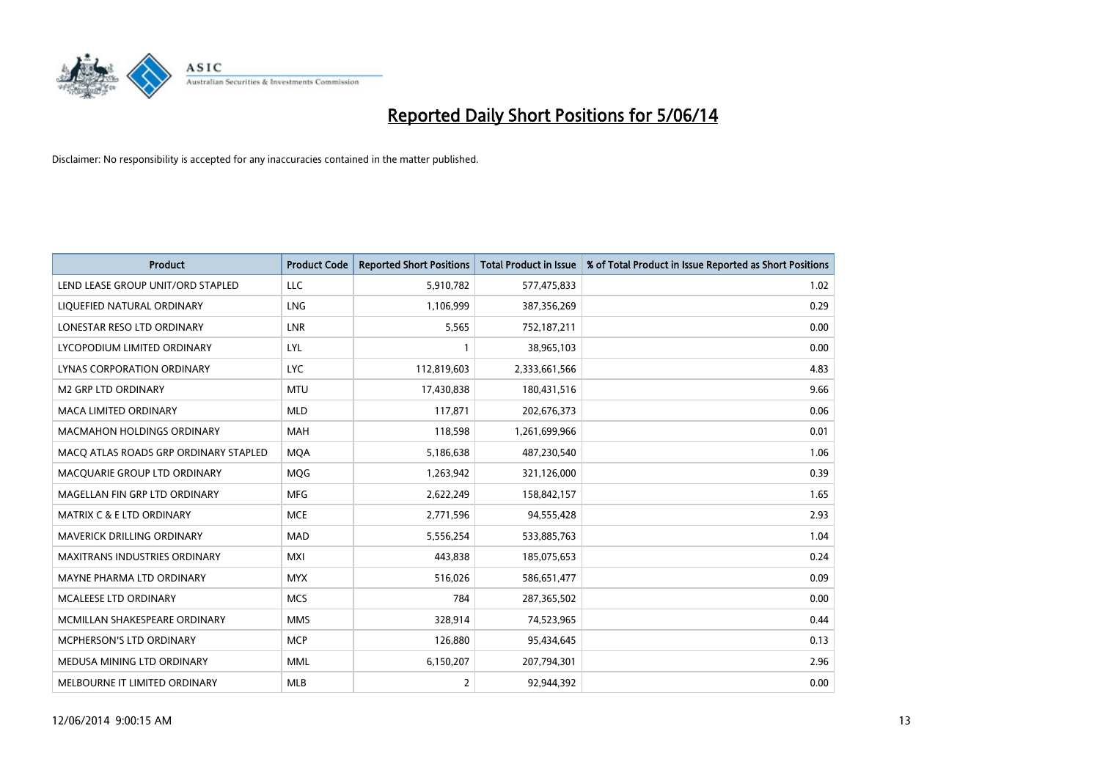

| <b>Product</b>                        | <b>Product Code</b> | <b>Reported Short Positions</b> | <b>Total Product in Issue</b> | % of Total Product in Issue Reported as Short Positions |
|---------------------------------------|---------------------|---------------------------------|-------------------------------|---------------------------------------------------------|
| LEND LEASE GROUP UNIT/ORD STAPLED     | <b>LLC</b>          | 5,910,782                       | 577,475,833                   | 1.02                                                    |
| LIQUEFIED NATURAL ORDINARY            | LNG                 | 1,106,999                       | 387,356,269                   | 0.29                                                    |
| LONESTAR RESO LTD ORDINARY            | LNR                 | 5,565                           | 752,187,211                   | 0.00                                                    |
| LYCOPODIUM LIMITED ORDINARY           | LYL                 |                                 | 38,965,103                    | 0.00                                                    |
| LYNAS CORPORATION ORDINARY            | <b>LYC</b>          | 112,819,603                     | 2,333,661,566                 | 4.83                                                    |
| <b>M2 GRP LTD ORDINARY</b>            | <b>MTU</b>          | 17,430,838                      | 180,431,516                   | 9.66                                                    |
| <b>MACA LIMITED ORDINARY</b>          | <b>MLD</b>          | 117,871                         | 202,676,373                   | 0.06                                                    |
| MACMAHON HOLDINGS ORDINARY            | <b>MAH</b>          | 118,598                         | 1,261,699,966                 | 0.01                                                    |
| MACQ ATLAS ROADS GRP ORDINARY STAPLED | <b>MOA</b>          | 5,186,638                       | 487,230,540                   | 1.06                                                    |
| MACQUARIE GROUP LTD ORDINARY          | <b>MOG</b>          | 1,263,942                       | 321,126,000                   | 0.39                                                    |
| MAGELLAN FIN GRP LTD ORDINARY         | <b>MFG</b>          | 2,622,249                       | 158,842,157                   | 1.65                                                    |
| <b>MATRIX C &amp; E LTD ORDINARY</b>  | <b>MCE</b>          | 2,771,596                       | 94,555,428                    | 2.93                                                    |
| MAVERICK DRILLING ORDINARY            | <b>MAD</b>          | 5,556,254                       | 533,885,763                   | 1.04                                                    |
| <b>MAXITRANS INDUSTRIES ORDINARY</b>  | <b>MXI</b>          | 443,838                         | 185,075,653                   | 0.24                                                    |
| MAYNE PHARMA LTD ORDINARY             | <b>MYX</b>          | 516,026                         | 586,651,477                   | 0.09                                                    |
| MCALEESE LTD ORDINARY                 | <b>MCS</b>          | 784                             | 287,365,502                   | 0.00                                                    |
| MCMILLAN SHAKESPEARE ORDINARY         | <b>MMS</b>          | 328,914                         | 74,523,965                    | 0.44                                                    |
| MCPHERSON'S LTD ORDINARY              | <b>MCP</b>          | 126,880                         | 95,434,645                    | 0.13                                                    |
| MEDUSA MINING LTD ORDINARY            | <b>MML</b>          | 6,150,207                       | 207,794,301                   | 2.96                                                    |
| MELBOURNE IT LIMITED ORDINARY         | <b>MLB</b>          | 2                               | 92,944,392                    | 0.00                                                    |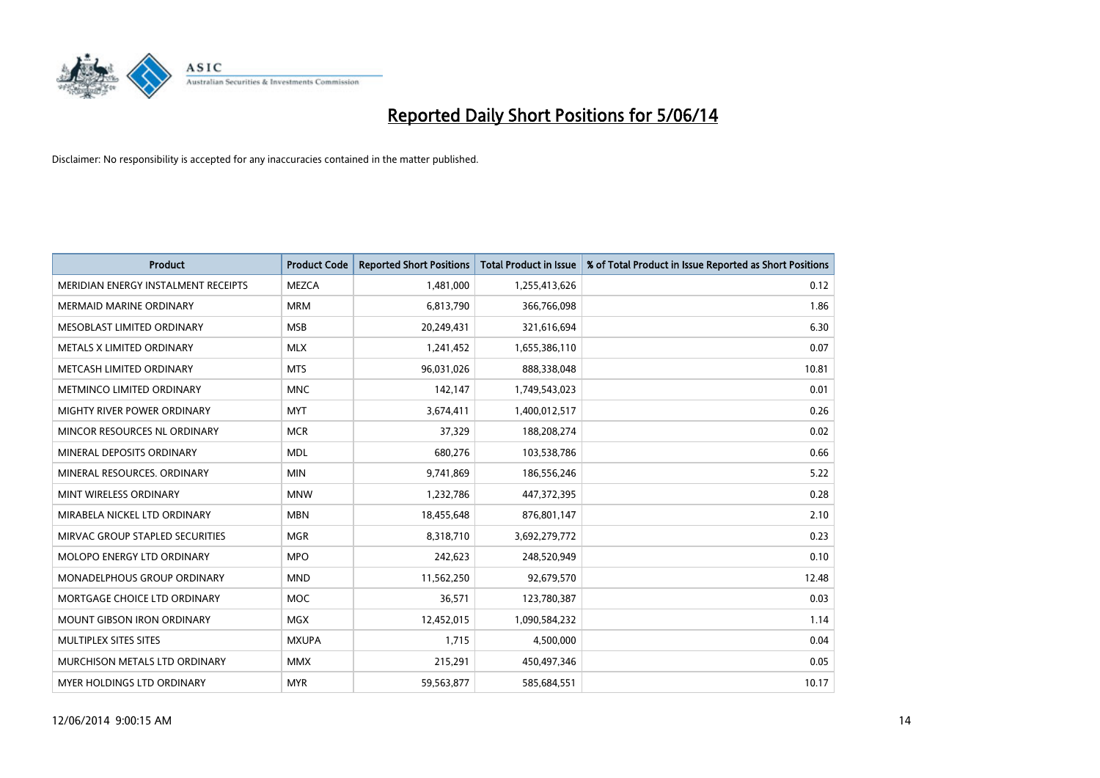

| <b>Product</b>                      | <b>Product Code</b> | <b>Reported Short Positions</b> | <b>Total Product in Issue</b> | % of Total Product in Issue Reported as Short Positions |
|-------------------------------------|---------------------|---------------------------------|-------------------------------|---------------------------------------------------------|
| MERIDIAN ENERGY INSTALMENT RECEIPTS | <b>MEZCA</b>        | 1,481,000                       | 1,255,413,626                 | 0.12                                                    |
| <b>MERMAID MARINE ORDINARY</b>      | <b>MRM</b>          | 6,813,790                       | 366,766,098                   | 1.86                                                    |
| MESOBLAST LIMITED ORDINARY          | <b>MSB</b>          | 20,249,431                      | 321,616,694                   | 6.30                                                    |
| METALS X LIMITED ORDINARY           | <b>MLX</b>          | 1,241,452                       | 1,655,386,110                 | 0.07                                                    |
| METCASH LIMITED ORDINARY            | <b>MTS</b>          | 96,031,026                      | 888,338,048                   | 10.81                                                   |
| METMINCO LIMITED ORDINARY           | <b>MNC</b>          | 142,147                         | 1,749,543,023                 | 0.01                                                    |
| MIGHTY RIVER POWER ORDINARY         | <b>MYT</b>          | 3,674,411                       | 1,400,012,517                 | 0.26                                                    |
| MINCOR RESOURCES NL ORDINARY        | <b>MCR</b>          | 37,329                          | 188,208,274                   | 0.02                                                    |
| MINERAL DEPOSITS ORDINARY           | <b>MDL</b>          | 680,276                         | 103,538,786                   | 0.66                                                    |
| MINERAL RESOURCES, ORDINARY         | <b>MIN</b>          | 9,741,869                       | 186,556,246                   | 5.22                                                    |
| MINT WIRELESS ORDINARY              | <b>MNW</b>          | 1,232,786                       | 447,372,395                   | 0.28                                                    |
| MIRABELA NICKEL LTD ORDINARY        | <b>MBN</b>          | 18,455,648                      | 876,801,147                   | 2.10                                                    |
| MIRVAC GROUP STAPLED SECURITIES     | <b>MGR</b>          | 8,318,710                       | 3,692,279,772                 | 0.23                                                    |
| <b>MOLOPO ENERGY LTD ORDINARY</b>   | <b>MPO</b>          | 242,623                         | 248,520,949                   | 0.10                                                    |
| <b>MONADELPHOUS GROUP ORDINARY</b>  | <b>MND</b>          | 11,562,250                      | 92,679,570                    | 12.48                                                   |
| MORTGAGE CHOICE LTD ORDINARY        | <b>MOC</b>          | 36,571                          | 123,780,387                   | 0.03                                                    |
| MOUNT GIBSON IRON ORDINARY          | <b>MGX</b>          | 12,452,015                      | 1,090,584,232                 | 1.14                                                    |
| MULTIPLEX SITES SITES               | <b>MXUPA</b>        | 1,715                           | 4,500,000                     | 0.04                                                    |
| MURCHISON METALS LTD ORDINARY       | <b>MMX</b>          | 215,291                         | 450,497,346                   | 0.05                                                    |
| MYER HOLDINGS LTD ORDINARY          | <b>MYR</b>          | 59,563,877                      | 585,684,551                   | 10.17                                                   |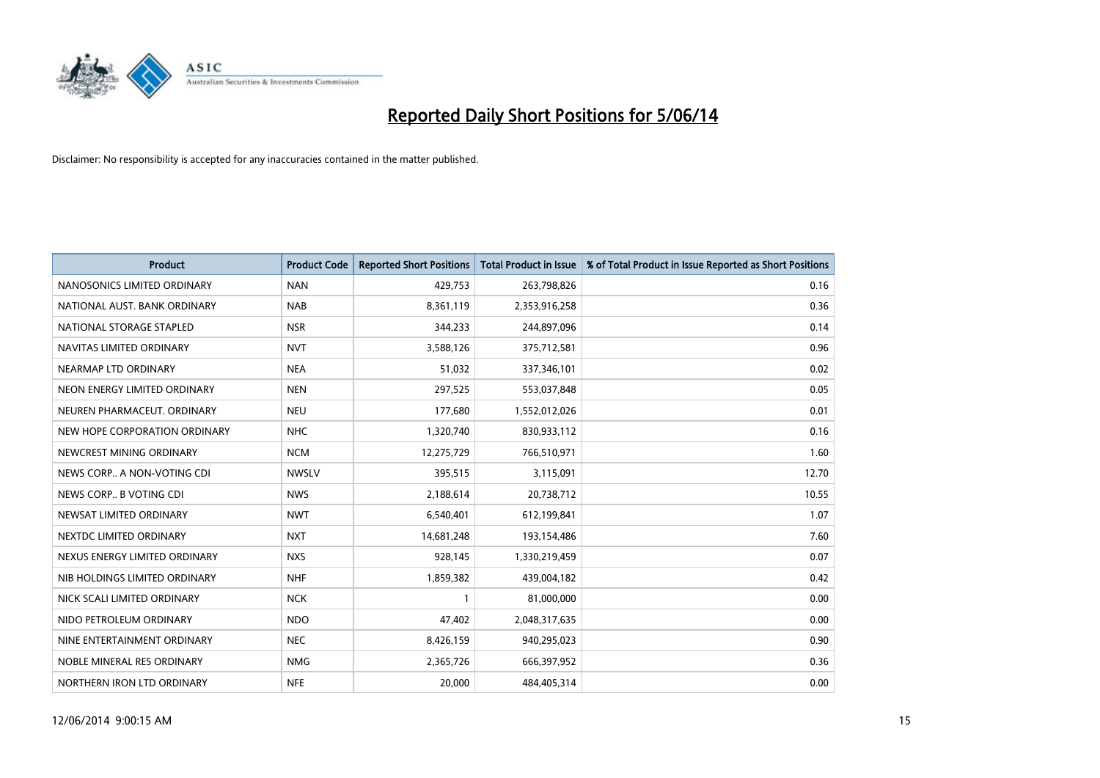

| <b>Product</b>                | <b>Product Code</b> | <b>Reported Short Positions</b> | <b>Total Product in Issue</b> | % of Total Product in Issue Reported as Short Positions |
|-------------------------------|---------------------|---------------------------------|-------------------------------|---------------------------------------------------------|
| NANOSONICS LIMITED ORDINARY   | <b>NAN</b>          | 429,753                         | 263,798,826                   | 0.16                                                    |
| NATIONAL AUST. BANK ORDINARY  | <b>NAB</b>          | 8,361,119                       | 2,353,916,258                 | 0.36                                                    |
| NATIONAL STORAGE STAPLED      | <b>NSR</b>          | 344,233                         | 244,897,096                   | 0.14                                                    |
| NAVITAS LIMITED ORDINARY      | <b>NVT</b>          | 3,588,126                       | 375,712,581                   | 0.96                                                    |
| NEARMAP LTD ORDINARY          | <b>NEA</b>          | 51,032                          | 337,346,101                   | 0.02                                                    |
| NEON ENERGY LIMITED ORDINARY  | <b>NEN</b>          | 297,525                         | 553,037,848                   | 0.05                                                    |
| NEUREN PHARMACEUT, ORDINARY   | <b>NEU</b>          | 177,680                         | 1,552,012,026                 | 0.01                                                    |
| NEW HOPE CORPORATION ORDINARY | <b>NHC</b>          | 1,320,740                       | 830,933,112                   | 0.16                                                    |
| NEWCREST MINING ORDINARY      | <b>NCM</b>          | 12,275,729                      | 766,510,971                   | 1.60                                                    |
| NEWS CORP A NON-VOTING CDI    | <b>NWSLV</b>        | 395,515                         | 3,115,091                     | 12.70                                                   |
| NEWS CORP B VOTING CDI        | <b>NWS</b>          | 2,188,614                       | 20,738,712                    | 10.55                                                   |
| NEWSAT LIMITED ORDINARY       | <b>NWT</b>          | 6,540,401                       | 612,199,841                   | 1.07                                                    |
| NEXTDC LIMITED ORDINARY       | <b>NXT</b>          | 14,681,248                      | 193,154,486                   | 7.60                                                    |
| NEXUS ENERGY LIMITED ORDINARY | <b>NXS</b>          | 928,145                         | 1,330,219,459                 | 0.07                                                    |
| NIB HOLDINGS LIMITED ORDINARY | <b>NHF</b>          | 1,859,382                       | 439,004,182                   | 0.42                                                    |
| NICK SCALI LIMITED ORDINARY   | <b>NCK</b>          |                                 | 81,000,000                    | 0.00                                                    |
| NIDO PETROLEUM ORDINARY       | <b>NDO</b>          | 47,402                          | 2,048,317,635                 | 0.00                                                    |
| NINE ENTERTAINMENT ORDINARY   | <b>NEC</b>          | 8,426,159                       | 940,295,023                   | 0.90                                                    |
| NOBLE MINERAL RES ORDINARY    | <b>NMG</b>          | 2,365,726                       | 666,397,952                   | 0.36                                                    |
| NORTHERN IRON LTD ORDINARY    | <b>NFE</b>          | 20,000                          | 484,405,314                   | 0.00                                                    |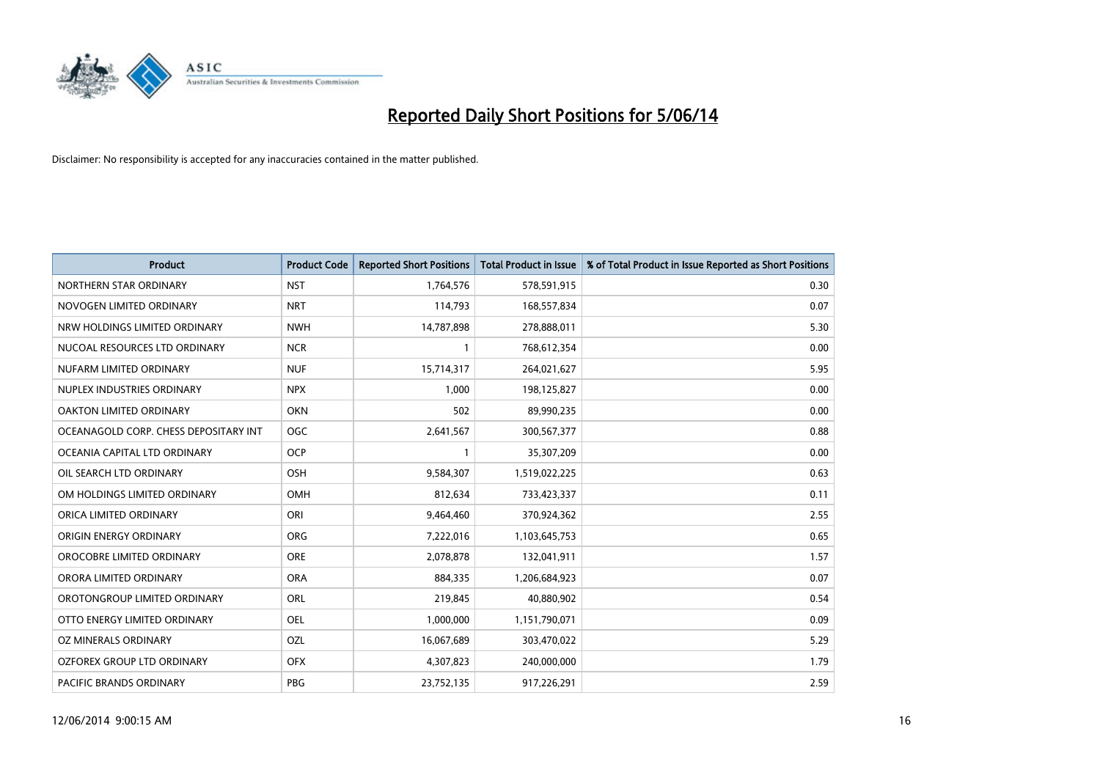

| <b>Product</b>                        | <b>Product Code</b> | <b>Reported Short Positions</b> | <b>Total Product in Issue</b> | % of Total Product in Issue Reported as Short Positions |
|---------------------------------------|---------------------|---------------------------------|-------------------------------|---------------------------------------------------------|
| NORTHERN STAR ORDINARY                | <b>NST</b>          | 1,764,576                       | 578,591,915                   | 0.30                                                    |
| NOVOGEN LIMITED ORDINARY              | <b>NRT</b>          | 114,793                         | 168,557,834                   | 0.07                                                    |
| NRW HOLDINGS LIMITED ORDINARY         | <b>NWH</b>          | 14,787,898                      | 278,888,011                   | 5.30                                                    |
| NUCOAL RESOURCES LTD ORDINARY         | <b>NCR</b>          | $\mathbf{1}$                    | 768,612,354                   | 0.00                                                    |
| NUFARM LIMITED ORDINARY               | <b>NUF</b>          | 15,714,317                      | 264,021,627                   | 5.95                                                    |
| NUPLEX INDUSTRIES ORDINARY            | <b>NPX</b>          | 1,000                           | 198,125,827                   | 0.00                                                    |
| OAKTON LIMITED ORDINARY               | <b>OKN</b>          | 502                             | 89,990,235                    | 0.00                                                    |
| OCEANAGOLD CORP. CHESS DEPOSITARY INT | <b>OGC</b>          | 2,641,567                       | 300,567,377                   | 0.88                                                    |
| OCEANIA CAPITAL LTD ORDINARY          | OCP                 |                                 | 35,307,209                    | 0.00                                                    |
| OIL SEARCH LTD ORDINARY               | <b>OSH</b>          | 9,584,307                       | 1,519,022,225                 | 0.63                                                    |
| OM HOLDINGS LIMITED ORDINARY          | <b>OMH</b>          | 812,634                         | 733,423,337                   | 0.11                                                    |
| ORICA LIMITED ORDINARY                | ORI                 | 9,464,460                       | 370,924,362                   | 2.55                                                    |
| ORIGIN ENERGY ORDINARY                | <b>ORG</b>          | 7,222,016                       | 1,103,645,753                 | 0.65                                                    |
| OROCOBRE LIMITED ORDINARY             | <b>ORE</b>          | 2,078,878                       | 132,041,911                   | 1.57                                                    |
| ORORA LIMITED ORDINARY                | <b>ORA</b>          | 884,335                         | 1,206,684,923                 | 0.07                                                    |
| OROTONGROUP LIMITED ORDINARY          | ORL                 | 219,845                         | 40,880,902                    | 0.54                                                    |
| OTTO ENERGY LIMITED ORDINARY          | OEL                 | 1,000,000                       | 1,151,790,071                 | 0.09                                                    |
| OZ MINERALS ORDINARY                  | <b>OZL</b>          | 16,067,689                      | 303,470,022                   | 5.29                                                    |
| OZFOREX GROUP LTD ORDINARY            | <b>OFX</b>          | 4,307,823                       | 240,000,000                   | 1.79                                                    |
| PACIFIC BRANDS ORDINARY               | PBG                 | 23,752,135                      | 917,226,291                   | 2.59                                                    |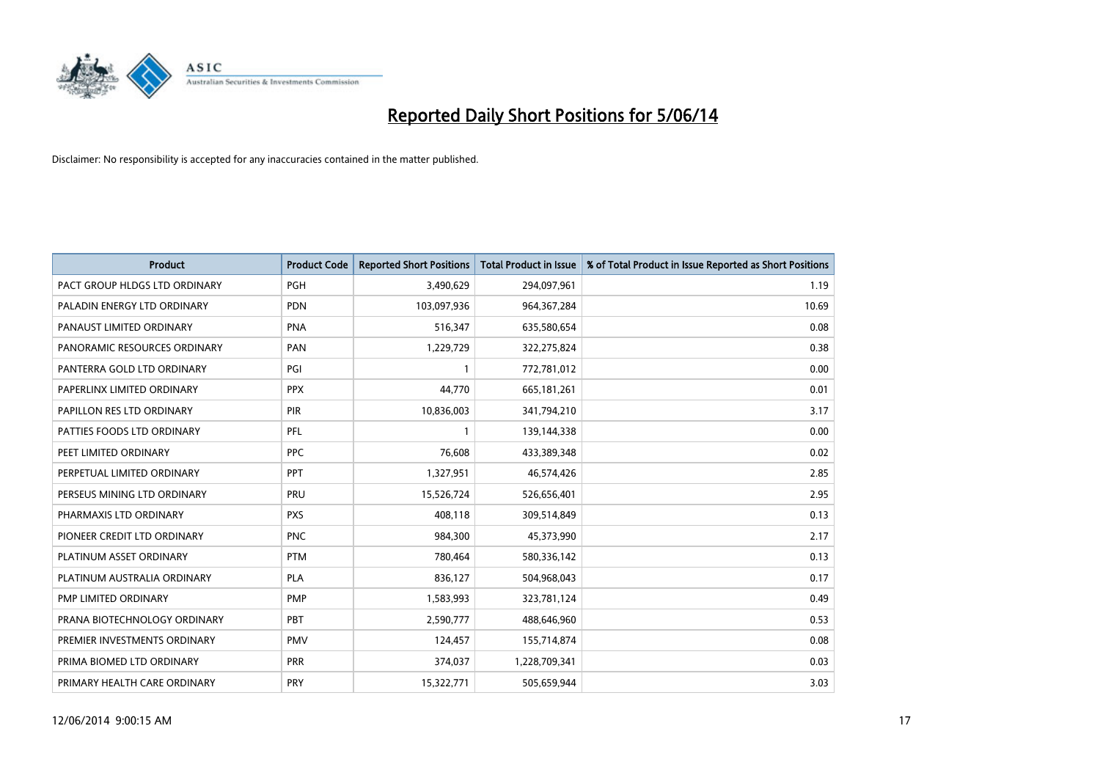

| <b>Product</b>                | <b>Product Code</b> | <b>Reported Short Positions</b> | <b>Total Product in Issue</b> | % of Total Product in Issue Reported as Short Positions |
|-------------------------------|---------------------|---------------------------------|-------------------------------|---------------------------------------------------------|
| PACT GROUP HLDGS LTD ORDINARY | <b>PGH</b>          | 3,490,629                       | 294,097,961                   | 1.19                                                    |
| PALADIN ENERGY LTD ORDINARY   | <b>PDN</b>          | 103,097,936                     | 964, 367, 284                 | 10.69                                                   |
| PANAUST LIMITED ORDINARY      | PNA                 | 516,347                         | 635,580,654                   | 0.08                                                    |
| PANORAMIC RESOURCES ORDINARY  | PAN                 | 1,229,729                       | 322,275,824                   | 0.38                                                    |
| PANTERRA GOLD LTD ORDINARY    | PGI                 |                                 | 772,781,012                   | 0.00                                                    |
| PAPERLINX LIMITED ORDINARY    | <b>PPX</b>          | 44,770                          | 665,181,261                   | 0.01                                                    |
| PAPILLON RES LTD ORDINARY     | <b>PIR</b>          | 10,836,003                      | 341,794,210                   | 3.17                                                    |
| PATTIES FOODS LTD ORDINARY    | PFL                 |                                 | 139,144,338                   | 0.00                                                    |
| PEET LIMITED ORDINARY         | <b>PPC</b>          | 76.608                          | 433,389,348                   | 0.02                                                    |
| PERPETUAL LIMITED ORDINARY    | PPT                 | 1,327,951                       | 46,574,426                    | 2.85                                                    |
| PERSEUS MINING LTD ORDINARY   | PRU                 | 15,526,724                      | 526,656,401                   | 2.95                                                    |
| PHARMAXIS LTD ORDINARY        | <b>PXS</b>          | 408,118                         | 309,514,849                   | 0.13                                                    |
| PIONEER CREDIT LTD ORDINARY   | <b>PNC</b>          | 984,300                         | 45,373,990                    | 2.17                                                    |
| PLATINUM ASSET ORDINARY       | <b>PTM</b>          | 780,464                         | 580,336,142                   | 0.13                                                    |
| PLATINUM AUSTRALIA ORDINARY   | <b>PLA</b>          | 836,127                         | 504,968,043                   | 0.17                                                    |
| PMP LIMITED ORDINARY          | <b>PMP</b>          | 1,583,993                       | 323,781,124                   | 0.49                                                    |
| PRANA BIOTECHNOLOGY ORDINARY  | PBT                 | 2,590,777                       | 488,646,960                   | 0.53                                                    |
| PREMIER INVESTMENTS ORDINARY  | <b>PMV</b>          | 124,457                         | 155,714,874                   | 0.08                                                    |
| PRIMA BIOMED LTD ORDINARY     | <b>PRR</b>          | 374,037                         | 1,228,709,341                 | 0.03                                                    |
| PRIMARY HEALTH CARE ORDINARY  | <b>PRY</b>          | 15,322,771                      | 505,659,944                   | 3.03                                                    |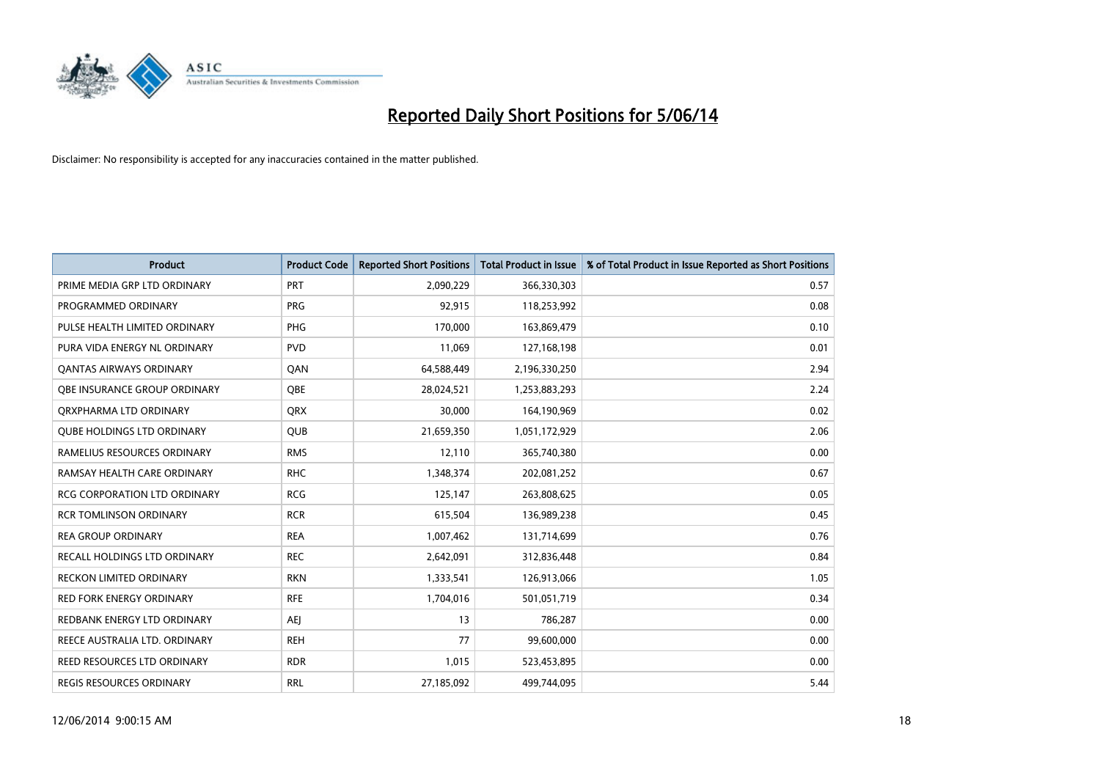

| <b>Product</b>                     | <b>Product Code</b> | <b>Reported Short Positions</b> | <b>Total Product in Issue</b> | % of Total Product in Issue Reported as Short Positions |
|------------------------------------|---------------------|---------------------------------|-------------------------------|---------------------------------------------------------|
| PRIME MEDIA GRP LTD ORDINARY       | <b>PRT</b>          | 2,090,229                       | 366,330,303                   | 0.57                                                    |
| PROGRAMMED ORDINARY                | <b>PRG</b>          | 92,915                          | 118,253,992                   | 0.08                                                    |
| PULSE HEALTH LIMITED ORDINARY      | <b>PHG</b>          | 170.000                         | 163,869,479                   | 0.10                                                    |
| PURA VIDA ENERGY NL ORDINARY       | <b>PVD</b>          | 11,069                          | 127,168,198                   | 0.01                                                    |
| <b>QANTAS AIRWAYS ORDINARY</b>     | QAN                 | 64,588,449                      | 2,196,330,250                 | 2.94                                                    |
| OBE INSURANCE GROUP ORDINARY       | <b>OBE</b>          | 28,024,521                      | 1,253,883,293                 | 2.24                                                    |
| ORXPHARMA LTD ORDINARY             | <b>QRX</b>          | 30,000                          | 164,190,969                   | 0.02                                                    |
| <b>QUBE HOLDINGS LTD ORDINARY</b>  | <b>QUB</b>          | 21,659,350                      | 1,051,172,929                 | 2.06                                                    |
| RAMELIUS RESOURCES ORDINARY        | <b>RMS</b>          | 12,110                          | 365,740,380                   | 0.00                                                    |
| RAMSAY HEALTH CARE ORDINARY        | <b>RHC</b>          | 1,348,374                       | 202,081,252                   | 0.67                                                    |
| RCG CORPORATION LTD ORDINARY       | <b>RCG</b>          | 125,147                         | 263,808,625                   | 0.05                                                    |
| <b>RCR TOMLINSON ORDINARY</b>      | <b>RCR</b>          | 615,504                         | 136,989,238                   | 0.45                                                    |
| <b>REA GROUP ORDINARY</b>          | <b>REA</b>          | 1,007,462                       | 131,714,699                   | 0.76                                                    |
| RECALL HOLDINGS LTD ORDINARY       | <b>REC</b>          | 2,642,091                       | 312,836,448                   | 0.84                                                    |
| <b>RECKON LIMITED ORDINARY</b>     | <b>RKN</b>          | 1,333,541                       | 126,913,066                   | 1.05                                                    |
| RED FORK ENERGY ORDINARY           | <b>RFE</b>          | 1,704,016                       | 501,051,719                   | 0.34                                                    |
| REDBANK ENERGY LTD ORDINARY        | AEI                 | 13                              | 786,287                       | 0.00                                                    |
| REECE AUSTRALIA LTD. ORDINARY      | <b>REH</b>          | 77                              | 99,600,000                    | 0.00                                                    |
| <b>REED RESOURCES LTD ORDINARY</b> | <b>RDR</b>          | 1,015                           | 523,453,895                   | 0.00                                                    |
| REGIS RESOURCES ORDINARY           | <b>RRL</b>          | 27,185,092                      | 499,744,095                   | 5.44                                                    |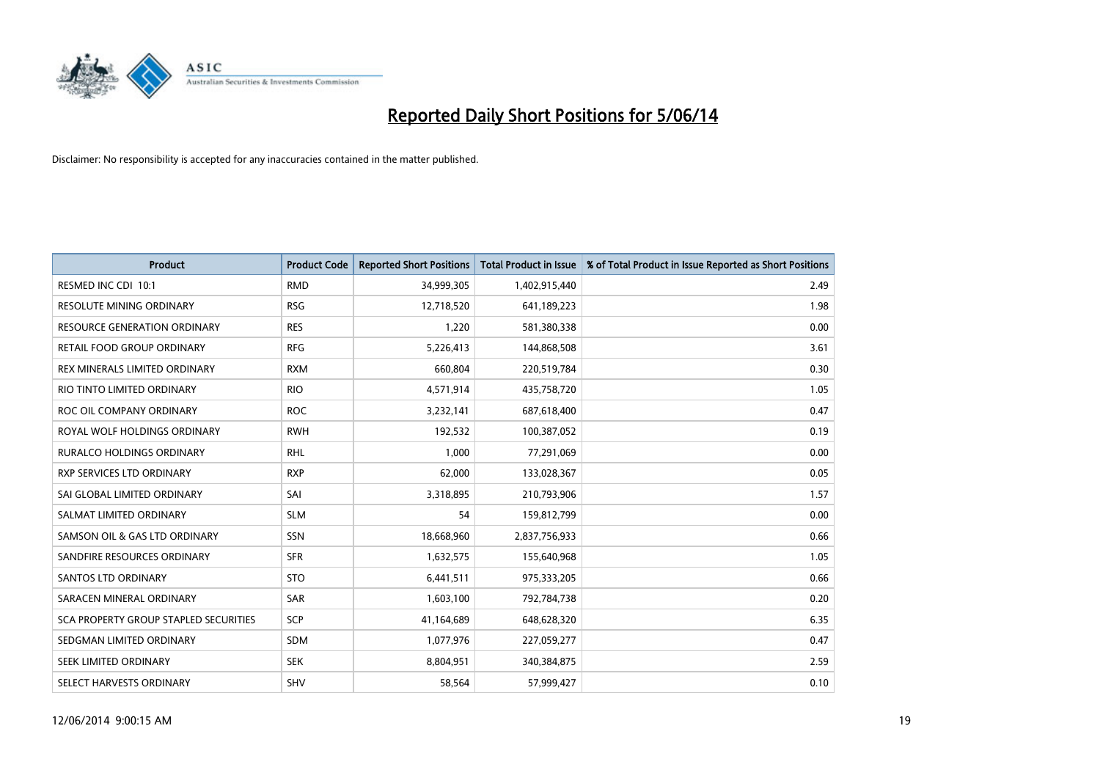

| <b>Product</b>                               | <b>Product Code</b> | <b>Reported Short Positions</b> | <b>Total Product in Issue</b> | % of Total Product in Issue Reported as Short Positions |
|----------------------------------------------|---------------------|---------------------------------|-------------------------------|---------------------------------------------------------|
| RESMED INC CDI 10:1                          | <b>RMD</b>          | 34,999,305                      | 1,402,915,440                 | 2.49                                                    |
| <b>RESOLUTE MINING ORDINARY</b>              | <b>RSG</b>          | 12,718,520                      | 641,189,223                   | 1.98                                                    |
| <b>RESOURCE GENERATION ORDINARY</b>          | <b>RES</b>          | 1,220                           | 581,380,338                   | 0.00                                                    |
| RETAIL FOOD GROUP ORDINARY                   | <b>RFG</b>          | 5,226,413                       | 144,868,508                   | 3.61                                                    |
| REX MINERALS LIMITED ORDINARY                | <b>RXM</b>          | 660.804                         | 220,519,784                   | 0.30                                                    |
| RIO TINTO LIMITED ORDINARY                   | <b>RIO</b>          | 4,571,914                       | 435,758,720                   | 1.05                                                    |
| ROC OIL COMPANY ORDINARY                     | <b>ROC</b>          | 3,232,141                       | 687,618,400                   | 0.47                                                    |
| ROYAL WOLF HOLDINGS ORDINARY                 | <b>RWH</b>          | 192,532                         | 100,387,052                   | 0.19                                                    |
| RURALCO HOLDINGS ORDINARY                    | <b>RHL</b>          | 1,000                           | 77,291,069                    | 0.00                                                    |
| <b>RXP SERVICES LTD ORDINARY</b>             | <b>RXP</b>          | 62,000                          | 133,028,367                   | 0.05                                                    |
| SAI GLOBAL LIMITED ORDINARY                  | SAI                 | 3,318,895                       | 210,793,906                   | 1.57                                                    |
| SALMAT LIMITED ORDINARY                      | <b>SLM</b>          | 54                              | 159,812,799                   | 0.00                                                    |
| SAMSON OIL & GAS LTD ORDINARY                | SSN                 | 18,668,960                      | 2,837,756,933                 | 0.66                                                    |
| SANDFIRE RESOURCES ORDINARY                  | <b>SFR</b>          | 1,632,575                       | 155,640,968                   | 1.05                                                    |
| SANTOS LTD ORDINARY                          | <b>STO</b>          | 6,441,511                       | 975,333,205                   | 0.66                                                    |
| SARACEN MINERAL ORDINARY                     | <b>SAR</b>          | 1,603,100                       | 792,784,738                   | 0.20                                                    |
| <b>SCA PROPERTY GROUP STAPLED SECURITIES</b> | SCP                 | 41,164,689                      | 648,628,320                   | 6.35                                                    |
| SEDGMAN LIMITED ORDINARY                     | <b>SDM</b>          | 1,077,976                       | 227,059,277                   | 0.47                                                    |
| SEEK LIMITED ORDINARY                        | <b>SEK</b>          | 8,804,951                       | 340,384,875                   | 2.59                                                    |
| SELECT HARVESTS ORDINARY                     | <b>SHV</b>          | 58,564                          | 57.999.427                    | 0.10                                                    |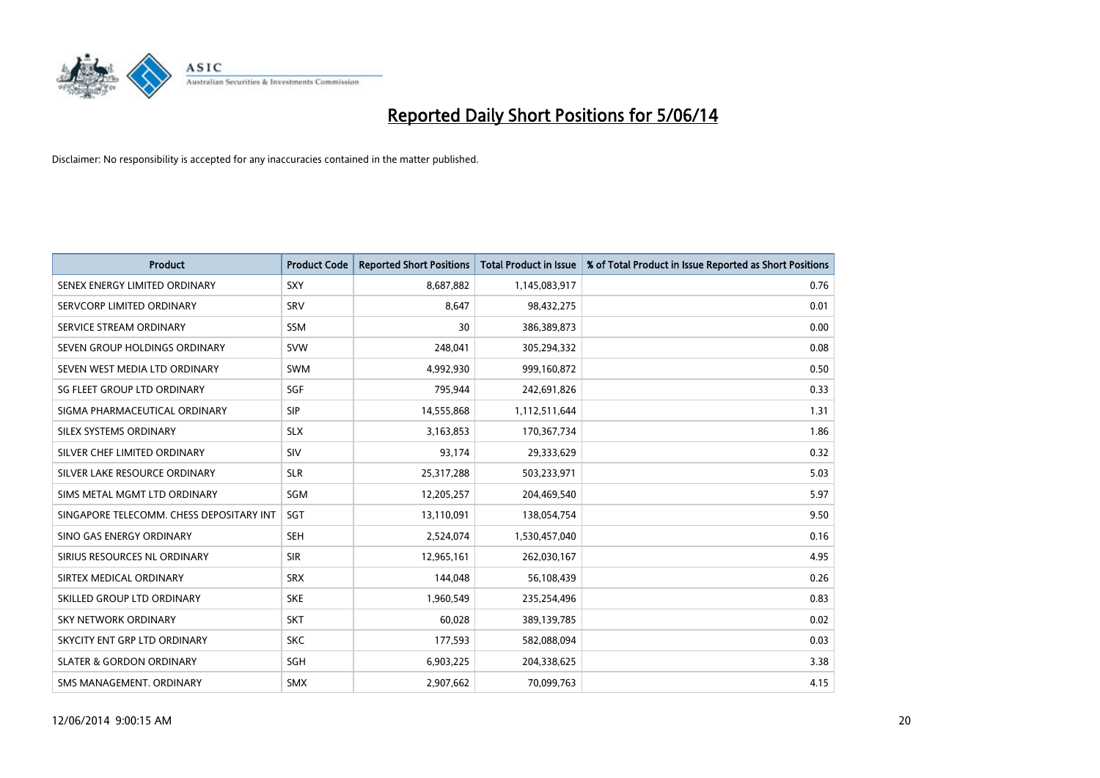

| <b>Product</b>                           | <b>Product Code</b> | <b>Reported Short Positions</b> | <b>Total Product in Issue</b> | % of Total Product in Issue Reported as Short Positions |
|------------------------------------------|---------------------|---------------------------------|-------------------------------|---------------------------------------------------------|
| SENEX ENERGY LIMITED ORDINARY            | <b>SXY</b>          | 8,687,882                       | 1,145,083,917                 | 0.76                                                    |
| SERVCORP LIMITED ORDINARY                | SRV                 | 8,647                           | 98,432,275                    | 0.01                                                    |
| SERVICE STREAM ORDINARY                  | <b>SSM</b>          | 30                              | 386,389,873                   | 0.00                                                    |
| SEVEN GROUP HOLDINGS ORDINARY            | <b>SVW</b>          | 248,041                         | 305,294,332                   | 0.08                                                    |
| SEVEN WEST MEDIA LTD ORDINARY            | <b>SWM</b>          | 4,992,930                       | 999,160,872                   | 0.50                                                    |
| SG FLEET GROUP LTD ORDINARY              | SGF                 | 795,944                         | 242,691,826                   | 0.33                                                    |
| SIGMA PHARMACEUTICAL ORDINARY            | <b>SIP</b>          | 14,555,868                      | 1,112,511,644                 | 1.31                                                    |
| SILEX SYSTEMS ORDINARY                   | <b>SLX</b>          | 3,163,853                       | 170,367,734                   | 1.86                                                    |
| SILVER CHEF LIMITED ORDINARY             | SIV                 | 93,174                          | 29,333,629                    | 0.32                                                    |
| SILVER LAKE RESOURCE ORDINARY            | <b>SLR</b>          | 25,317,288                      | 503,233,971                   | 5.03                                                    |
| SIMS METAL MGMT LTD ORDINARY             | SGM                 | 12,205,257                      | 204,469,540                   | 5.97                                                    |
| SINGAPORE TELECOMM. CHESS DEPOSITARY INT | <b>SGT</b>          | 13,110,091                      | 138,054,754                   | 9.50                                                    |
| SINO GAS ENERGY ORDINARY                 | <b>SEH</b>          | 2,524,074                       | 1,530,457,040                 | 0.16                                                    |
| SIRIUS RESOURCES NL ORDINARY             | <b>SIR</b>          | 12,965,161                      | 262,030,167                   | 4.95                                                    |
| SIRTEX MEDICAL ORDINARY                  | <b>SRX</b>          | 144,048                         | 56,108,439                    | 0.26                                                    |
| SKILLED GROUP LTD ORDINARY               | <b>SKE</b>          | 1,960,549                       | 235,254,496                   | 0.83                                                    |
| SKY NETWORK ORDINARY                     | <b>SKT</b>          | 60,028                          | 389,139,785                   | 0.02                                                    |
| SKYCITY ENT GRP LTD ORDINARY             | <b>SKC</b>          | 177,593                         | 582,088,094                   | 0.03                                                    |
| <b>SLATER &amp; GORDON ORDINARY</b>      | <b>SGH</b>          | 6,903,225                       | 204,338,625                   | 3.38                                                    |
| SMS MANAGEMENT, ORDINARY                 | <b>SMX</b>          | 2,907,662                       | 70,099,763                    | 4.15                                                    |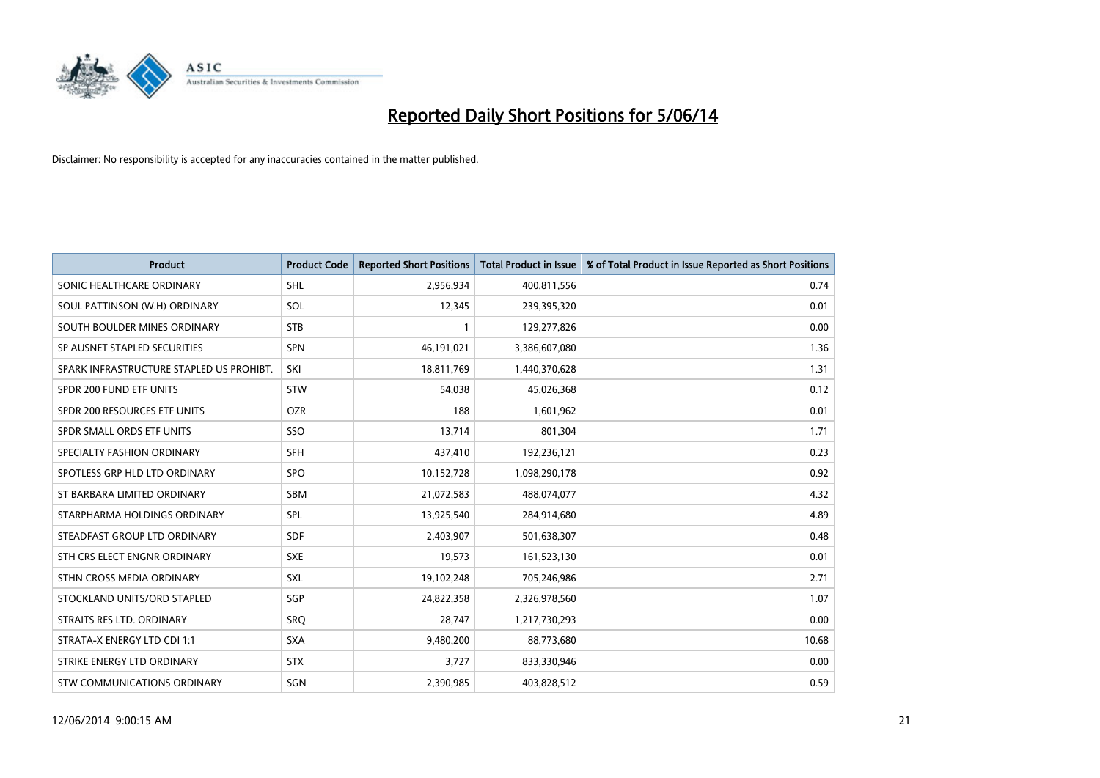

| <b>Product</b>                           | <b>Product Code</b> | <b>Reported Short Positions</b> | <b>Total Product in Issue</b> | % of Total Product in Issue Reported as Short Positions |
|------------------------------------------|---------------------|---------------------------------|-------------------------------|---------------------------------------------------------|
| SONIC HEALTHCARE ORDINARY                | <b>SHL</b>          | 2,956,934                       | 400,811,556                   | 0.74                                                    |
| SOUL PATTINSON (W.H) ORDINARY            | <b>SOL</b>          | 12,345                          | 239,395,320                   | 0.01                                                    |
| SOUTH BOULDER MINES ORDINARY             | <b>STB</b>          |                                 | 129,277,826                   | 0.00                                                    |
| SP AUSNET STAPLED SECURITIES             | <b>SPN</b>          | 46,191,021                      | 3,386,607,080                 | 1.36                                                    |
| SPARK INFRASTRUCTURE STAPLED US PROHIBT. | SKI                 | 18,811,769                      | 1,440,370,628                 | 1.31                                                    |
| SPDR 200 FUND ETF UNITS                  | <b>STW</b>          | 54,038                          | 45,026,368                    | 0.12                                                    |
| SPDR 200 RESOURCES ETF UNITS             | <b>OZR</b>          | 188                             | 1,601,962                     | 0.01                                                    |
| SPDR SMALL ORDS ETF UNITS                | SSO                 | 13,714                          | 801,304                       | 1.71                                                    |
| SPECIALTY FASHION ORDINARY               | <b>SFH</b>          | 437,410                         | 192,236,121                   | 0.23                                                    |
| SPOTLESS GRP HLD LTD ORDINARY            | <b>SPO</b>          | 10,152,728                      | 1,098,290,178                 | 0.92                                                    |
| ST BARBARA LIMITED ORDINARY              | <b>SBM</b>          | 21,072,583                      | 488,074,077                   | 4.32                                                    |
| STARPHARMA HOLDINGS ORDINARY             | SPL                 | 13,925,540                      | 284,914,680                   | 4.89                                                    |
| STEADFAST GROUP LTD ORDINARY             | <b>SDF</b>          | 2,403,907                       | 501,638,307                   | 0.48                                                    |
| STH CRS ELECT ENGNR ORDINARY             | <b>SXE</b>          | 19,573                          | 161,523,130                   | 0.01                                                    |
| STHN CROSS MEDIA ORDINARY                | <b>SXL</b>          | 19,102,248                      | 705,246,986                   | 2.71                                                    |
| STOCKLAND UNITS/ORD STAPLED              | <b>SGP</b>          | 24,822,358                      | 2,326,978,560                 | 1.07                                                    |
| STRAITS RES LTD. ORDINARY                | SRO                 | 28,747                          | 1,217,730,293                 | 0.00                                                    |
| STRATA-X ENERGY LTD CDI 1:1              | <b>SXA</b>          | 9,480,200                       | 88,773,680                    | 10.68                                                   |
| STRIKE ENERGY LTD ORDINARY               | <b>STX</b>          | 3,727                           | 833,330,946                   | 0.00                                                    |
| STW COMMUNICATIONS ORDINARY              | SGN                 | 2,390,985                       | 403,828,512                   | 0.59                                                    |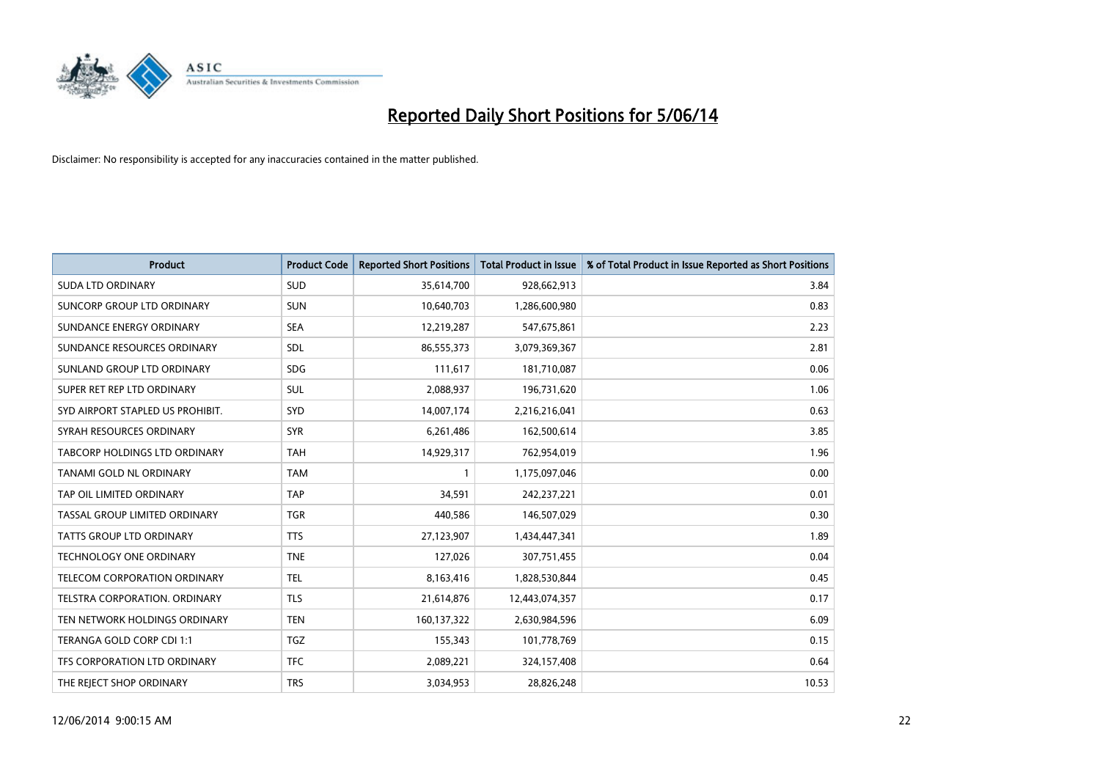

| <b>Product</b>                       | <b>Product Code</b> | <b>Reported Short Positions</b> | <b>Total Product in Issue</b> | % of Total Product in Issue Reported as Short Positions |
|--------------------------------------|---------------------|---------------------------------|-------------------------------|---------------------------------------------------------|
| <b>SUDA LTD ORDINARY</b>             | <b>SUD</b>          | 35,614,700                      | 928,662,913                   | 3.84                                                    |
| SUNCORP GROUP LTD ORDINARY           | <b>SUN</b>          | 10,640,703                      | 1,286,600,980                 | 0.83                                                    |
| SUNDANCE ENERGY ORDINARY             | <b>SEA</b>          | 12,219,287                      | 547,675,861                   | 2.23                                                    |
| SUNDANCE RESOURCES ORDINARY          | <b>SDL</b>          | 86,555,373                      | 3,079,369,367                 | 2.81                                                    |
| SUNLAND GROUP LTD ORDINARY           | <b>SDG</b>          | 111,617                         | 181,710,087                   | 0.06                                                    |
| SUPER RET REP LTD ORDINARY           | <b>SUL</b>          | 2,088,937                       | 196,731,620                   | 1.06                                                    |
| SYD AIRPORT STAPLED US PROHIBIT.     | <b>SYD</b>          | 14,007,174                      | 2,216,216,041                 | 0.63                                                    |
| SYRAH RESOURCES ORDINARY             | <b>SYR</b>          | 6,261,486                       | 162,500,614                   | 3.85                                                    |
| TABCORP HOLDINGS LTD ORDINARY        | <b>TAH</b>          | 14,929,317                      | 762,954,019                   | 1.96                                                    |
| TANAMI GOLD NL ORDINARY              | <b>TAM</b>          |                                 | 1,175,097,046                 | 0.00                                                    |
| TAP OIL LIMITED ORDINARY             | <b>TAP</b>          | 34,591                          | 242,237,221                   | 0.01                                                    |
| <b>TASSAL GROUP LIMITED ORDINARY</b> | <b>TGR</b>          | 440,586                         | 146,507,029                   | 0.30                                                    |
| TATTS GROUP LTD ORDINARY             | <b>TTS</b>          | 27,123,907                      | 1,434,447,341                 | 1.89                                                    |
| TECHNOLOGY ONE ORDINARY              | <b>TNE</b>          | 127,026                         | 307,751,455                   | 0.04                                                    |
| <b>TELECOM CORPORATION ORDINARY</b>  | <b>TEL</b>          | 8,163,416                       | 1,828,530,844                 | 0.45                                                    |
| TELSTRA CORPORATION. ORDINARY        | <b>TLS</b>          | 21,614,876                      | 12,443,074,357                | 0.17                                                    |
| TEN NETWORK HOLDINGS ORDINARY        | <b>TEN</b>          | 160,137,322                     | 2,630,984,596                 | 6.09                                                    |
| TERANGA GOLD CORP CDI 1:1            | <b>TGZ</b>          | 155,343                         | 101,778,769                   | 0.15                                                    |
| TFS CORPORATION LTD ORDINARY         | <b>TFC</b>          | 2,089,221                       | 324,157,408                   | 0.64                                                    |
| THE REJECT SHOP ORDINARY             | <b>TRS</b>          | 3,034,953                       | 28,826,248                    | 10.53                                                   |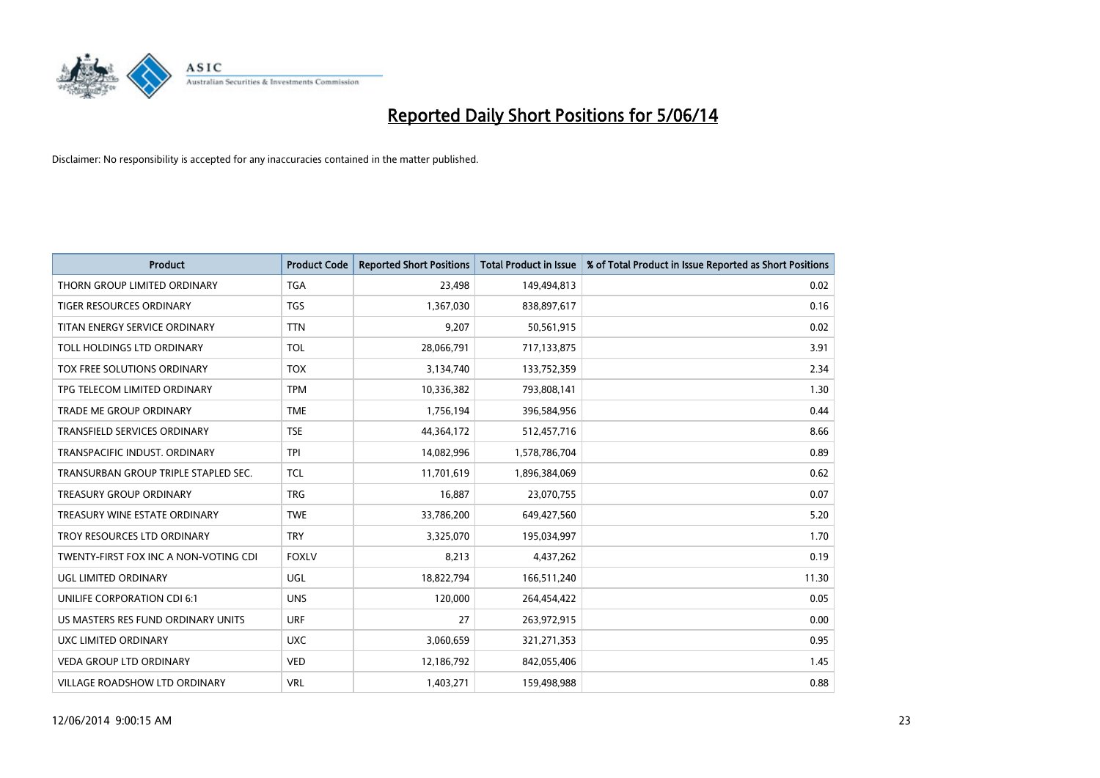

| <b>Product</b>                        | <b>Product Code</b> | <b>Reported Short Positions</b> | <b>Total Product in Issue</b> | % of Total Product in Issue Reported as Short Positions |
|---------------------------------------|---------------------|---------------------------------|-------------------------------|---------------------------------------------------------|
| THORN GROUP LIMITED ORDINARY          | <b>TGA</b>          | 23,498                          | 149,494,813                   | 0.02                                                    |
| TIGER RESOURCES ORDINARY              | <b>TGS</b>          | 1,367,030                       | 838,897,617                   | 0.16                                                    |
| TITAN ENERGY SERVICE ORDINARY         | <b>TTN</b>          | 9,207                           | 50,561,915                    | 0.02                                                    |
| TOLL HOLDINGS LTD ORDINARY            | TOL                 | 28,066,791                      | 717,133,875                   | 3.91                                                    |
| <b>TOX FREE SOLUTIONS ORDINARY</b>    | <b>TOX</b>          | 3,134,740                       | 133,752,359                   | 2.34                                                    |
| TPG TELECOM LIMITED ORDINARY          | <b>TPM</b>          | 10,336,382                      | 793,808,141                   | 1.30                                                    |
| <b>TRADE ME GROUP ORDINARY</b>        | <b>TME</b>          | 1,756,194                       | 396,584,956                   | 0.44                                                    |
| TRANSFIELD SERVICES ORDINARY          | <b>TSE</b>          | 44,364,172                      | 512,457,716                   | 8.66                                                    |
| TRANSPACIFIC INDUST. ORDINARY         | <b>TPI</b>          | 14,082,996                      | 1,578,786,704                 | 0.89                                                    |
| TRANSURBAN GROUP TRIPLE STAPLED SEC.  | <b>TCL</b>          | 11,701,619                      | 1,896,384,069                 | 0.62                                                    |
| <b>TREASURY GROUP ORDINARY</b>        | <b>TRG</b>          | 16,887                          | 23,070,755                    | 0.07                                                    |
| TREASURY WINE ESTATE ORDINARY         | <b>TWE</b>          | 33,786,200                      | 649,427,560                   | 5.20                                                    |
| TROY RESOURCES LTD ORDINARY           | <b>TRY</b>          | 3,325,070                       | 195,034,997                   | 1.70                                                    |
| TWENTY-FIRST FOX INC A NON-VOTING CDI | <b>FOXLV</b>        | 8,213                           | 4,437,262                     | 0.19                                                    |
| UGL LIMITED ORDINARY                  | <b>UGL</b>          | 18,822,794                      | 166,511,240                   | 11.30                                                   |
| UNILIFE CORPORATION CDI 6:1           | <b>UNS</b>          | 120,000                         | 264,454,422                   | 0.05                                                    |
| US MASTERS RES FUND ORDINARY UNITS    | <b>URF</b>          | 27                              | 263,972,915                   | 0.00                                                    |
| UXC LIMITED ORDINARY                  | <b>UXC</b>          | 3,060,659                       | 321,271,353                   | 0.95                                                    |
| <b>VEDA GROUP LTD ORDINARY</b>        | <b>VED</b>          | 12,186,792                      | 842,055,406                   | 1.45                                                    |
| <b>VILLAGE ROADSHOW LTD ORDINARY</b>  | <b>VRL</b>          | 1.403.271                       | 159,498,988                   | 0.88                                                    |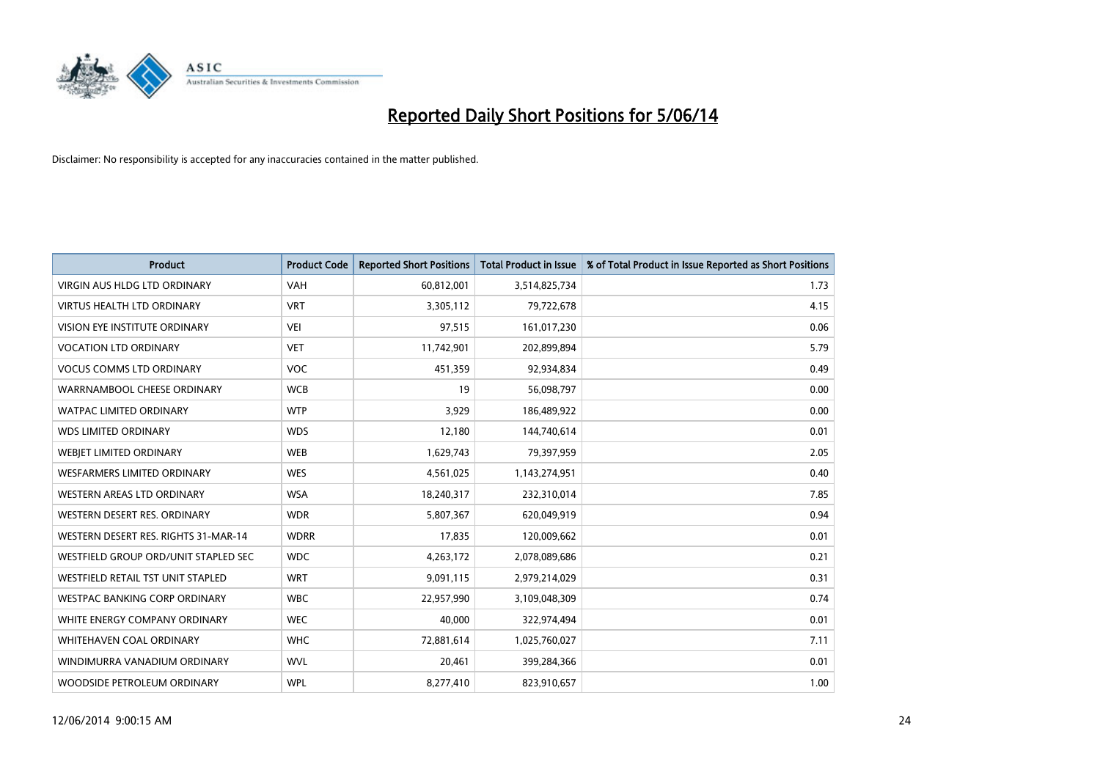

| <b>Product</b>                       | <b>Product Code</b> | <b>Reported Short Positions</b> | <b>Total Product in Issue</b> | % of Total Product in Issue Reported as Short Positions |
|--------------------------------------|---------------------|---------------------------------|-------------------------------|---------------------------------------------------------|
| <b>VIRGIN AUS HLDG LTD ORDINARY</b>  | <b>VAH</b>          | 60,812,001                      | 3,514,825,734                 | 1.73                                                    |
| <b>VIRTUS HEALTH LTD ORDINARY</b>    | <b>VRT</b>          | 3,305,112                       | 79,722,678                    | 4.15                                                    |
| <b>VISION EYE INSTITUTE ORDINARY</b> | VEI                 | 97,515                          | 161,017,230                   | 0.06                                                    |
| <b>VOCATION LTD ORDINARY</b>         | <b>VET</b>          | 11,742,901                      | 202,899,894                   | 5.79                                                    |
| <b>VOCUS COMMS LTD ORDINARY</b>      | <b>VOC</b>          | 451,359                         | 92,934,834                    | 0.49                                                    |
| WARRNAMBOOL CHEESE ORDINARY          | <b>WCB</b>          | 19                              | 56,098,797                    | 0.00                                                    |
| <b>WATPAC LIMITED ORDINARY</b>       | <b>WTP</b>          | 3,929                           | 186,489,922                   | 0.00                                                    |
| <b>WDS LIMITED ORDINARY</b>          | <b>WDS</b>          | 12,180                          | 144,740,614                   | 0.01                                                    |
| WEBJET LIMITED ORDINARY              | <b>WEB</b>          | 1,629,743                       | 79,397,959                    | 2.05                                                    |
| <b>WESFARMERS LIMITED ORDINARY</b>   | <b>WES</b>          | 4,561,025                       | 1,143,274,951                 | 0.40                                                    |
| WESTERN AREAS LTD ORDINARY           | <b>WSA</b>          | 18,240,317                      | 232,310,014                   | 7.85                                                    |
| WESTERN DESERT RES. ORDINARY         | <b>WDR</b>          | 5,807,367                       | 620,049,919                   | 0.94                                                    |
| WESTERN DESERT RES. RIGHTS 31-MAR-14 | <b>WDRR</b>         | 17,835                          | 120,009,662                   | 0.01                                                    |
| WESTFIELD GROUP ORD/UNIT STAPLED SEC | <b>WDC</b>          | 4,263,172                       | 2,078,089,686                 | 0.21                                                    |
| WESTFIELD RETAIL TST UNIT STAPLED    | <b>WRT</b>          | 9,091,115                       | 2,979,214,029                 | 0.31                                                    |
| WESTPAC BANKING CORP ORDINARY        | <b>WBC</b>          | 22,957,990                      | 3,109,048,309                 | 0.74                                                    |
| WHITE ENERGY COMPANY ORDINARY        | <b>WEC</b>          | 40,000                          | 322,974,494                   | 0.01                                                    |
| <b>WHITEHAVEN COAL ORDINARY</b>      | <b>WHC</b>          | 72,881,614                      | 1,025,760,027                 | 7.11                                                    |
| WINDIMURRA VANADIUM ORDINARY         | <b>WVL</b>          | 20,461                          | 399,284,366                   | 0.01                                                    |
| WOODSIDE PETROLEUM ORDINARY          | <b>WPL</b>          | 8,277,410                       | 823,910,657                   | 1.00                                                    |